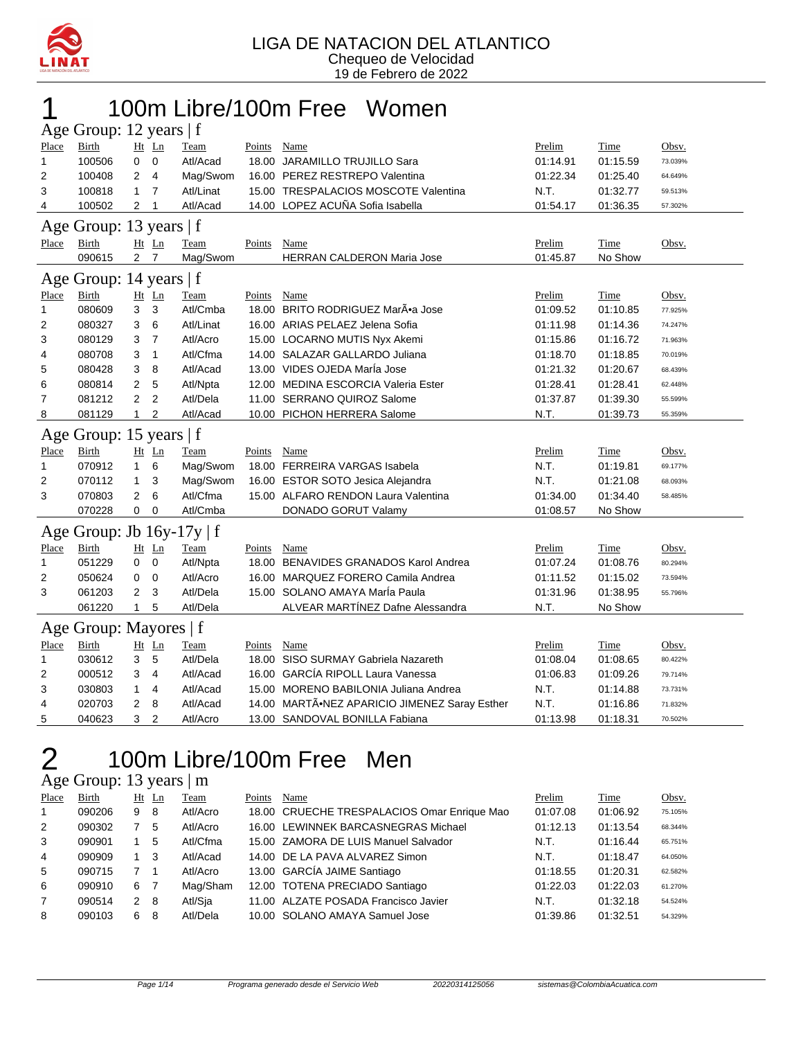

### 1 100m Libre/100m Free Women

|                       | Age Group: 12 years   f             |                |                      |             |        |                                         |          |          |         |  |  |  |
|-----------------------|-------------------------------------|----------------|----------------------|-------------|--------|-----------------------------------------|----------|----------|---------|--|--|--|
| Place                 | <b>Birth</b>                        |                | Ht Ln                | Team        | Points | Name                                    | Prelim   | Time     | Obsv.   |  |  |  |
| $\mathbf{1}$          | 100506                              | 0              | $\mathbf 0$          | Atl/Acad    | 18.00  | <b>JARAMILLO TRUJILLO Sara</b>          | 01:14.91 | 01:15.59 | 73.039% |  |  |  |
| $\overline{2}$        | 100408                              | 2              | $\overline{4}$       | Mag/Swom    |        | 16.00 PEREZ RESTREPO Valentina          | 01:22.34 | 01:25.40 | 64.649% |  |  |  |
| 3                     | 100818                              | 1              | $\overline{7}$       | Atl/Linat   |        | 15.00 TRESPALACIOS MOSCOTE Valentina    | N.T.     | 01:32.77 | 59.513% |  |  |  |
| 4                     | 100502                              | 2              | 1                    | Atl/Acad    |        | 14.00 LOPEZ ACUÑA Sofia Isabella        | 01:54.17 | 01:36.35 | 57.302% |  |  |  |
| Age                   | Group: 13 years $ f $               |                |                      |             |        |                                         |          |          |         |  |  |  |
| <b>Place</b>          | <b>Birth</b>                        |                | Ht Ln                | Team        | Points | Name                                    | Prelim   | Time     | Obsv.   |  |  |  |
|                       | 090615                              | $\overline{2}$ | $\overline{7}$       | Mag/Swom    |        | <b>HERRAN CALDERON Maria Jose</b>       | 01:45.87 | No Show  |         |  |  |  |
| Age                   | Group: 14 years $ f $               |                |                      |             |        |                                         |          |          |         |  |  |  |
| Place                 | <b>Birth</b>                        |                | $Ht$ Ln              | <b>Team</b> | Points | Name                                    | Prelim   | Time     | Obsv.   |  |  |  |
| $\mathbf{1}$          | 080609                              | 3              | 3                    | Atl/Cmba    | 18.00  | BRITO RODRIGUEZ MarÕa Jose              | 01:09.52 | 01:10.85 | 77.925% |  |  |  |
| 2                     | 080327                              | 3              | 6                    | Atl/Linat   |        | 16.00 ARIAS PELAEZ Jelena Sofia         | 01:11.98 | 01:14.36 | 74.247% |  |  |  |
| 3                     | 080129                              | 3              | $\overline{7}$       | Atl/Acro    |        | 15.00 LOCARNO MUTIS Nyx Akemi           | 01:15.86 | 01:16.72 | 71.963% |  |  |  |
| 4                     | 080708                              | 3              | $\mathbf{1}$         | Atl/Cfma    |        | 14.00 SALAZAR GALLARDO Juliana          | 01:18.70 | 01:18.85 | 70.019% |  |  |  |
| 5                     | 080428                              | 3              | 8                    | Atl/Acad    |        | 13.00 VIDES OJEDA MarÍa Jose            | 01:21.32 | 01:20.67 | 68.439% |  |  |  |
| 6                     | 080814                              | 2              | 5                    | Atl/Npta    |        | 12.00 MEDINA ESCORCIA Valeria Ester     | 01:28.41 | 01:28.41 | 62.448% |  |  |  |
| 7                     | 081212                              | $\overline{2}$ | $\overline{2}$       | Atl/Dela    |        | 11.00 SERRANO QUIROZ Salome             | 01:37.87 | 01:39.30 | 55.599% |  |  |  |
| 8                     | 081129                              | 1              | $\overline{2}$       | Atl/Acad    |        | 10.00 PICHON HERRERA Salome             | N.T.     | 01:39.73 | 55.359% |  |  |  |
| Group: 15 years $ f $ |                                     |                |                      |             |        |                                         |          |          |         |  |  |  |
|                       |                                     |                |                      |             |        |                                         |          |          |         |  |  |  |
| Age<br>Place          | <b>Birth</b>                        |                | Ht Ln                | Team        | Points | Name                                    | Prelim   | Time     | Obsv.   |  |  |  |
| $\mathbf{1}$          | 070912                              | $\mathbf{1}$   | 6                    | Mag/Swom    |        | 18.00 FERREIRA VARGAS Isabela           | N.T.     | 01:19.81 | 69.177% |  |  |  |
| 2                     | 070112                              | 1              | 3                    | Mag/Swom    |        | 16.00 ESTOR SOTO Jesica Alejandra       | N.T.     | 01:21.08 | 68.093% |  |  |  |
| 3                     | 070803                              | $\overline{2}$ | 6                    | Atl/Cfma    |        | 15.00 ALFARO RENDON Laura Valentina     | 01:34.00 | 01:34.40 | 58.485% |  |  |  |
|                       | 070228                              | 0              | 0                    | Atl/Cmba    |        | DONADO GORUT Valamy                     | 01:08.57 | No Show  |         |  |  |  |
|                       |                                     |                |                      |             |        |                                         |          |          |         |  |  |  |
| Age<br>Place          | Group: Jb $16y-17y \mid f$<br>Birth |                |                      | Team        | Points | Name                                    | Prelim   | Time     | Obsv.   |  |  |  |
| $\mathbf{1}$          | 051229                              | 0              | Ht Ln<br>$\mathbf 0$ | Atl/Npta    | 18.00  | <b>BENAVIDES GRANADOS Karol Andrea</b>  | 01:07.24 | 01:08.76 | 80.294% |  |  |  |
| 2                     | 050624                              | 0              | $\mathbf 0$          | Atl/Acro    | 16.00  | MARQUEZ FORERO Camila Andrea            | 01:11.52 | 01:15.02 | 73.594% |  |  |  |
| 3                     | 061203                              | 2              | 3                    | Atl/Dela    |        | 15.00 SOLANO AMAYA MarÍa Paula          | 01:31.96 | 01:38.95 | 55.796% |  |  |  |
|                       | 061220                              | $\mathbf{1}$   | 5                    | Atl/Dela    |        | ALVEAR MARTÍNEZ Dafne Alessandra        | N.T.     | No Show  |         |  |  |  |
|                       | Group: Mayores   f                  |                |                      |             |        |                                         |          |          |         |  |  |  |
| Age<br>Place          | <b>Birth</b>                        |                | Ht Ln                | Team        | Points | Name                                    | Prelim   | Time     | Obsv.   |  |  |  |
| $\mathbf{1}$          | 030612                              | 3              | 5                    | Atl/Dela    | 18.00  | SISO SURMAY Gabriela Nazareth           | 01:08.04 | 01:08.65 | 80.422% |  |  |  |
| $\overline{2}$        | 000512                              | 3              | 4                    | Atl/Acad    |        | 16.00 GARCÍA RIPOLL Laura Vanessa       | 01:06.83 | 01:09.26 | 79.714% |  |  |  |
| 3                     | 030803                              | 1              | 4                    | Atl/Acad    |        | 15.00 MORENO BABILONIA Juliana Andrea   | N.T.     | 01:14.88 | 73.731% |  |  |  |
| 4                     | 020703                              | 2              | 8                    | Atl/Acad    | 14.00  | MARTÃ.NEZ APARICIO JIMENEZ Saray Esther | N.T.     | 01:16.86 | 71.832% |  |  |  |

### 100m Libre/100m Free Men

| Age Group: 13 years   m |  |  |
|-------------------------|--|--|
|-------------------------|--|--|

| Place        | Birth  |               | $Ht$ Ln | Team     | Points | Name                                        | Prelim   | Time     | Obsv.   |
|--------------|--------|---------------|---------|----------|--------|---------------------------------------------|----------|----------|---------|
| $\mathbf{1}$ | 090206 | 9             | - 8     | Atl/Acro |        | 18.00 CRUECHE TRESPALACIOS Omar Enrique Mao | 01:07.08 | 01:06.92 | 75.105% |
| 2            | 090302 |               | 5       | Atl/Acro |        | 16.00 LEWINNEK BARCASNEGRAS Michael         | 01:12.13 | 01:13.54 | 68.344% |
| 3            | 090901 |               | 5       | Atl/Cfma |        | 15.00 ZAMORA DE LUIS Manuel Salvador        | N.T.     | 01:16.44 | 65.751% |
| 4            | 090909 |               | 3       | Atl/Acad |        | 14.00 DE LA PAVA ALVAREZ Simon              | N.T.     | 01:18.47 | 64.050% |
| 5            | 090715 |               |         | Atl/Acro |        | 13.00 GARCÍA JAIME Santiago                 | 01:18.55 | 01:20.31 | 62.582% |
| 6            | 090910 | 6             | -7      | Mag/Sham |        | 12.00 TOTENA PRECIADO Santiago              | 01:22.03 | 01:22.03 | 61.270% |
| 7            | 090514 | $\mathcal{P}$ | -8      | Atl/Sja  |        | 11.00 ALZATE POSADA Francisco Javier        | N.T.     | 01:32.18 | 54.524% |
| 8            | 090103 | 6.            | 8       | Atl/Dela |        | 10.00 SOLANO AMAYA Samuel Jose              | 01:39.86 | 01:32.51 | 54.329% |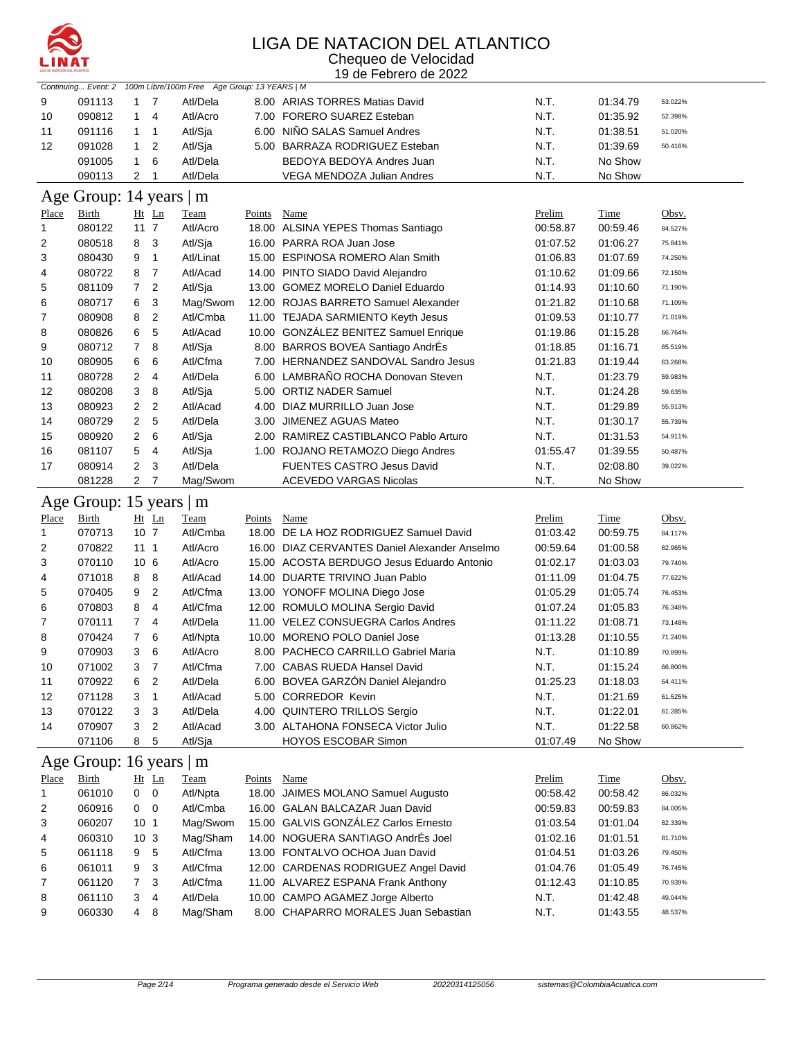

#### LIGA DE NATACION DEL ATLANTICO Chequeo de Velocidad

19 de Febrero de 2022

|              | Continuing Event: 2       |                                  | 100m Libre/100m Free Age Group: 13 YEARS   M |        |                                               |          |             |         |
|--------------|---------------------------|----------------------------------|----------------------------------------------|--------|-----------------------------------------------|----------|-------------|---------|
| 9            | 091113                    | $1 \quad 7$                      | Atl/Dela                                     |        | 8.00 ARIAS TORRES Matias David                | N.T.     | 01:34.79    | 53.022% |
| 10           | 090812                    | $\mathbf{1}$<br>$\overline{4}$   | Atl/Acro                                     |        | 7.00 FORERO SUAREZ Esteban                    | N.T.     | 01:35.92    | 52.398% |
| 11           | 091116                    | 1<br>1                           | Atl/Sja                                      |        | 6.00 NINO SALAS Samuel Andres                 | N.T.     | 01:38.51    | 51.020% |
| 12           | 091028                    | $\overline{2}$<br>1              | Atl/Sja                                      |        | 5.00 BARRAZA RODRIGUEZ Esteban                | N.T.     | 01:39.69    | 50.416% |
|              | 091005                    | 1<br>6                           | Atl/Dela                                     |        | BEDOYA BEDOYA Andres Juan                     | N.T.     | No Show     |         |
|              | 090113                    | $\overline{2}$<br>1              | Atl/Dela                                     |        | VEGA MENDOZA Julian Andres                    | N.T.     | No Show     |         |
| Age          | Group: 14 years $\vert$ m |                                  |                                              |        |                                               |          |             |         |
| Place        | Birth                     | $Ht$ Ln                          | Team                                         | Points | Name                                          | Prelim   | Time        | Obsv.   |
| $\mathbf{1}$ | 080122                    | $11 \t7$                         | Atl/Acro                                     |        | 18.00 ALSINA YEPES Thomas Santiago            | 00:58.87 | 00:59.46    | 84.527% |
| 2            | 080518                    | 8<br>3                           | Atl/Sja                                      |        | 16.00 PARRA ROA Juan Jose                     | 01:07.52 | 01:06.27    | 75.841% |
| 3            | 080430                    | 9<br>$\mathbf{1}$                | Atl/Linat                                    |        | 15.00 ESPINOSA ROMERO Alan Smith              | 01:06.83 | 01:07.69    | 74.250% |
| 4            | 080722                    | $\overline{7}$<br>8              | Atl/Acad                                     |        | 14.00 PINTO SIADO David Alejandro             | 01:10.62 | 01:09.66    | 72.150% |
| 5            | 081109                    | 7<br>2                           | Atl/Sja                                      |        | 13.00 GOMEZ MORELO Daniel Eduardo             | 01:14.93 | 01:10.60    | 71.190% |
| 6            | 080717                    | 6<br>3                           | Mag/Swom                                     |        | 12.00 ROJAS BARRETO Samuel Alexander          | 01:21.82 | 01:10.68    | 71.109% |
| 7            | 080908                    | $\overline{c}$<br>8              | Atl/Cmba                                     |        | 11.00 TEJADA SARMIENTO Keyth Jesus            | 01:09.53 | 01:10.77    | 71.019% |
| 8            | 080826                    | 5<br>6                           | Atl/Acad                                     |        | 10.00 GONZÁLEZ BENITEZ Samuel Enrique         | 01:19.86 | 01:15.28    | 66.764% |
| 9            | 080712                    | 8<br>$\overline{7}$              | Atl/Sja                                      |        | 8.00 BARROS BOVEA Santiago AndrÉs             | 01:18.85 | 01:16.71    | 65.519% |
| 10           | 080905                    | 6<br>6                           | Atl/Cfma                                     |        | 7.00 HERNANDEZ SANDOVAL Sandro Jesus          | 01:21.83 | 01:19.44    | 63.268% |
| 11           | 080728                    | 2<br>$\overline{4}$              | Atl/Dela                                     |        | 6.00 LAMBRAÑO ROCHA Donovan Steven            | N.T.     | 01:23.79    | 59.983% |
| 12           | 080208                    | 3<br>8                           | Atl/Sja                                      |        | 5.00 ORTIZ NADER Samuel                       | N.T.     | 01:24.28    | 59.635% |
| 13           | 080923                    | $\overline{c}$<br>$\overline{2}$ | Atl/Acad                                     |        | 4.00 DIAZ MURRILLO Juan Jose                  | N.T.     | 01:29.89    | 55.913% |
| 14           | 080729                    | $\overline{c}$<br>5              | Atl/Dela                                     |        | 3.00 JIMENEZ AGUAS Mateo                      | N.T.     | 01:30.17    | 55.739% |
| 15           | 080920                    | 2<br>6                           | Atl/Sja                                      |        | 2.00 RAMIREZ CASTIBLANCO Pablo Arturo         | N.T.     | 01:31.53    | 54.911% |
| 16           | 081107                    | 5<br>4                           | Atl/Sja                                      |        | 1.00 ROJANO RETAMOZO Diego Andres             | 01:55.47 | 01:39.55    | 50.487% |
| 17           | 080914                    | 2<br>3                           | Atl/Dela                                     |        | FUENTES CASTRO Jesus David                    | N.T.     | 02:08.80    | 39.022% |
|              | 081228                    | $\overline{a}$<br>7              | Mag/Swom                                     |        | <b>ACEVEDO VARGAS Nicolas</b>                 | N.T.     | No Show     |         |
|              |                           |                                  |                                              |        |                                               |          |             |         |
|              | Age Group: 15 years   m   |                                  |                                              |        |                                               |          |             |         |
| <u>Place</u> | <b>Birth</b>              | $Ht$ Ln                          | Team                                         | Points | Name                                          | Prelim   | <b>Time</b> | Obsv.   |
| $\mathbf{1}$ | 070713                    | 10 <sub>7</sub>                  | Atl/Cmba                                     |        | 18.00 DE LA HOZ RODRIGUEZ Samuel David        | 01:03.42 | 00:59.75    | 84.117% |
| 2            | 070822                    | 11 <sub>1</sub>                  | Atl/Acro                                     |        | 16.00 DIAZ CERVANTES Daniel Alexander Anselmo | 00:59.64 | 01:00.58    | 82.965% |
| 3            | 070110                    | 10 <sub>6</sub>                  | Atl/Acro                                     |        | 15.00 ACOSTA BERDUGO Jesus Eduardo Antonio    | 01:02.17 | 01:03.03    | 79.740% |
| 4            | 071018                    | 8<br>8                           | Atl/Acad                                     |        | 14.00 DUARTE TRIVINO Juan Pablo               | 01:11.09 | 01:04.75    | 77.622% |
| 5            | 070405                    | $\overline{c}$<br>9              | Atl/Cfma                                     |        | 13.00 YONOFF MOLINA Diego Jose                | 01:05.29 | 01:05.74    | 76.453% |
| 6            | 070803                    | 8<br>4                           | Atl/Cfma                                     |        | 12.00 ROMULO MOLINA Sergio David              | 01:07.24 | 01:05.83    | 76.348% |
| 7            | 070111                    | $\overline{7}$<br>4              | Atl/Dela                                     |        | 11.00 VELEZ CONSUEGRA Carlos Andres           | 01:11.22 | 01:08.71    | 73.148% |
| 8            | 070424                    | $\overline{7}$<br>6              | Atl/Npta                                     |        | 10.00 MORENO POLO Daniel Jose                 | 01:13.28 | 01:10.55    | 71.240% |
| 9            | 070903                    | 3<br>6                           | Atl/Acro                                     |        | 8.00 PACHECO CARRILLO Gabriel Maria           | N.T.     | 01:10.89    | 70.899% |
| 10           | 071002                    | 3<br>$\overline{7}$              | Atl/Cfma                                     |        | 7.00 CABAS RUEDA Hansel David                 | N.T.     | 01:15.24    | 66.800% |
| 11           | 070922                    | $\overline{c}$<br>6              | Atl/Dela                                     |        | 6.00 BOVEA GARZÓN Daniel Alejandro            | 01:25.23 | 01:18.03    | 64.411% |
| 12           | 071128                    | 3<br>1                           | Atl/Acad                                     |        | 5.00 CORREDOR Kevin                           | N.T.     | 01:21.69    | 61.525% |
| 13           | 070122                    | 3<br>3                           | Atl/Dela                                     |        | 4.00 QUINTERO TRILLOS Sergio                  | N.T.     | 01:22.01    | 61.285% |
| 14           | 070907                    | 3<br>2                           | Atl/Acad                                     |        | 3.00 ALTAHONA FONSECA Victor Julio            | N.T.     | 01:22.58    | 60.862% |
|              | 071106                    | 5<br>8                           | Atl/Sja                                      |        | <b>HOYOS ESCOBAR Simon</b>                    | 01:07.49 | No Show     |         |
|              | Age Group: 16 years   m   |                                  |                                              |        |                                               |          |             |         |
| Place        | <b>Birth</b>              | $Ht$ Ln                          | <b>Team</b>                                  | Points | Name                                          | Prelim   | Time        | Obsv.   |
| 1            | 061010                    | $\mathsf 0$<br>0                 | Atl/Npta                                     |        | 18.00 JAIMES MOLANO Samuel Augusto            | 00:58.42 | 00:58.42    | 86.032% |
| 2            | 060916                    | 0<br>0                           | Atl/Cmba                                     |        | 16.00 GALAN BALCAZAR Juan David               | 00:59.83 | 00:59.83    | 84.005% |
| 3            | 060207                    | 10 <sub>1</sub>                  | Mag/Swom                                     |        | 15.00 GALVIS GONZÁLEZ Carlos Ernesto          | 01:03.54 | 01:01.04    | 82.339% |
| 4            | 060310                    | 10 <sub>3</sub>                  | Mag/Sham                                     |        | 14.00 NOGUERA SANTIAGO AndrÉs Joel            | 01:02.16 | 01:01.51    | 81.710% |
| 5            | 061118                    | 5<br>9                           | Atl/Cfma                                     |        | 13.00 FONTALVO OCHOA Juan David               | 01:04.51 | 01:03.26    | 79.450% |
| 6            | 061011                    | 3<br>9                           | Atl/Cfma                                     |        | 12.00 CARDENAS RODRIGUEZ Angel David          | 01:04.76 | 01:05.49    | 76.745% |
| 7            | 061120                    | 7<br>3                           | Atl/Cfma                                     |        | 11.00 ALVAREZ ESPANA Frank Anthony            | 01:12.43 | 01:10.85    | 70.939% |
| 8            | 061110                    | 3<br>4                           | Atl/Dela                                     |        | 10.00 CAMPO AGAMEZ Jorge Alberto              | N.T.     | 01:42.48    | 49.044% |
|              |                           |                                  |                                              |        |                                               |          |             |         |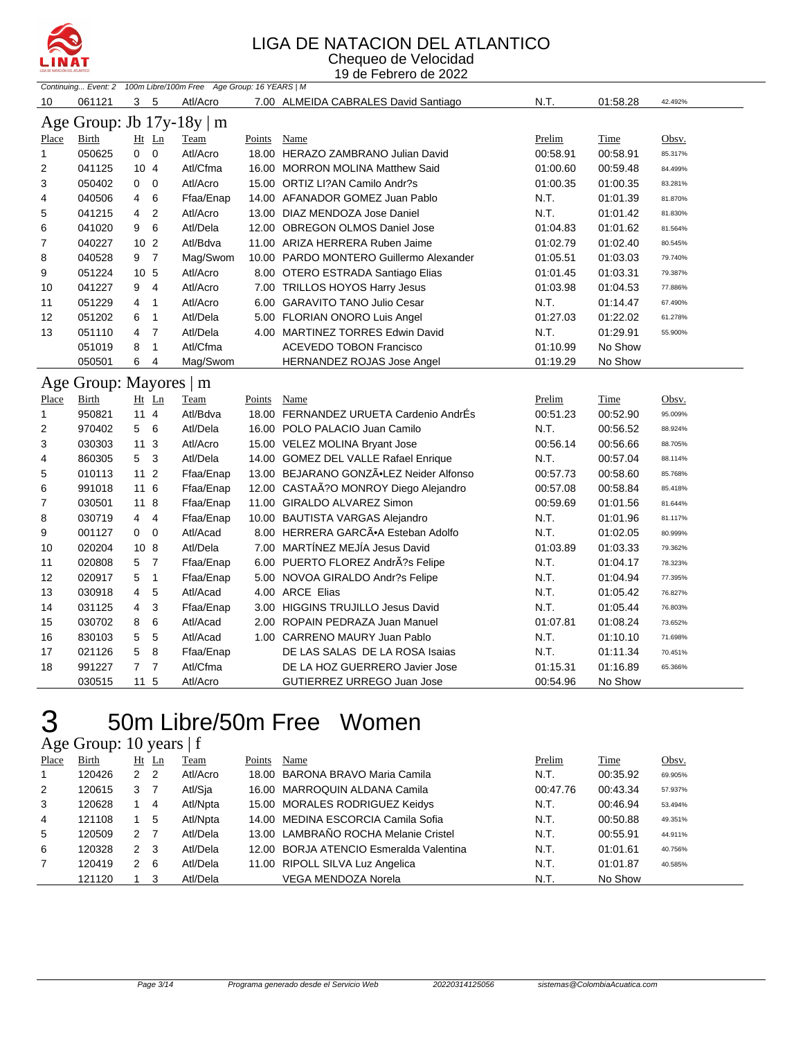

#### LIGA DE NATACION DEL ATLANTICO

Chequeo de Velocidad 19 de Febrero de 2022

| Continuing Event: 2 100m Libre/100m Free Age Group: 16 YEARS   M |        |                                  |                           |             |                                                  |          |          |         |
|------------------------------------------------------------------|--------|----------------------------------|---------------------------|-------------|--------------------------------------------------|----------|----------|---------|
| 10                                                               | 061121 | 3<br>-5                          | Atl/Acro                  |             | 7.00 ALMEIDA CABRALES David Santiago             | N.T.     | 01:58.28 | 42.492% |
|                                                                  |        |                                  | Age Group: Jb 17y-18y   m |             |                                                  |          |          |         |
| Place                                                            | Birth  | $Ht$ Ln                          | Team                      | Points      | Name                                             | Prelim   | Time     | Obsv.   |
| $\mathbf{1}$                                                     | 050625 | $\overline{0}$<br>$\overline{0}$ | Atl/Acro                  |             | 18.00 HERAZO ZAMBRANO Julian David               | 00:58.91 | 00:58.91 | 85.317% |
| $\overline{2}$                                                   | 041125 | 10 <sub>4</sub>                  | Atl/Cfma                  |             | 16.00 MORRON MOLINA Matthew Said                 | 01:00.60 | 00:59.48 | 84.499% |
| 3                                                                | 050402 | $\overline{0}$<br>0              | Atl/Acro                  |             | 15.00 ORTIZ LI?AN Camilo Andr?s                  | 01:00.35 | 01:00.35 | 83.281% |
| 4                                                                | 040506 | 6<br>4                           | Ffaa/Enap                 |             | 14.00 AFANADOR GOMEZ Juan Pablo                  | N.T.     | 01:01.39 | 81.870% |
| 5                                                                | 041215 | $\overline{2}$<br>4              | Atl/Acro                  |             | 13.00 DIAZ MENDOZA Jose Daniel                   | N.T.     | 01:01.42 | 81.830% |
| 6                                                                | 041020 | 6<br>9                           | Atl/Dela                  |             | 12.00 OBREGON OLMOS Daniel Jose                  | 01:04.83 | 01:01.62 | 81.564% |
| 7                                                                | 040227 | 10 <sub>2</sub>                  | Atl/Bdva                  |             | 11.00 ARIZA HERRERA Ruben Jaime                  | 01:02.79 | 01:02.40 | 80.545% |
| 8                                                                | 040528 | $\overline{7}$<br>9              | Mag/Swom                  |             | 10.00 PARDO MONTERO Guillermo Alexander          | 01:05.51 | 01:03.03 | 79.740% |
| 9                                                                | 051224 | 10 <sub>5</sub>                  | Atl/Acro                  |             | 8.00 OTERO ESTRADA Santiago Elias                | 01:01.45 | 01:03.31 | 79.387% |
| 10                                                               | 041227 | 9<br>4                           | Atl/Acro                  |             | 7.00 TRILLOS HOYOS Harry Jesus                   | 01:03.98 | 01:04.53 | 77.886% |
| 11                                                               | 051229 | $\mathbf{1}$<br>4                | Atl/Acro                  |             | 6.00 GARAVITO TANO Julio Cesar                   | N.T.     | 01:14.47 | 67.490% |
| 12                                                               | 051202 | $\mathbf{1}$<br>6                | Atl/Dela                  |             | 5.00 FLORIAN ONORO Luis Angel                    | 01:27.03 | 01:22.02 | 61.278% |
| 13                                                               | 051110 | $\overline{4}$<br>$\overline{7}$ | Atl/Dela                  |             | 4.00 MARTINEZ TORRES Edwin David                 | N.T.     | 01:29.91 | 55.900% |
|                                                                  | 051019 | $\mathbf{1}$<br>8                | Atl/Cfma                  |             | <b>ACEVEDO TOBON Francisco</b>                   | 01:10.99 | No Show  |         |
|                                                                  | 050501 | 6<br>4                           | Mag/Swom                  |             | <b>HERNANDEZ ROJAS Jose Angel</b>                | 01:19.29 | No Show  |         |
|                                                                  |        |                                  | Age Group: Mayores   m    |             |                                                  |          |          |         |
| Place                                                            | Birth  | $Ht$ Ln                          | Team                      | Points Name |                                                  | Prelim   | Time     | Obsv.   |
| $\mathbf{1}$                                                     | 950821 | $11 \quad 4$                     | Atl/Bdva                  |             | 18.00 FERNANDEZ URUETA Cardenio AndrÉs           | 00:51.23 | 00:52.90 | 95.009% |
| $\overline{c}$                                                   | 970402 | 5 6                              | Atl/Dela                  |             | 16.00 POLO PALACIO Juan Camilo                   | N.T.     | 00:56.52 | 88.924% |
| 3                                                                | 030303 | 113                              | Atl/Acro                  |             | 15.00 VELEZ MOLINA Bryant Jose                   | 00:56.14 | 00:56.66 | 88.705% |
| 4                                                                | 860305 | 5 <sup>5</sup><br>3              | Atl/Dela                  |             | 14.00 GOMEZ DEL VALLE Rafael Enrique             | N.T.     | 00:57.04 | 88.114% |
| 5                                                                | 010113 | $112$                            | Ffaa/Enap                 |             | 13.00 BEJARANO GONZÃ.LEZ Neider Alfonso          | 00:57.73 | 00:58.60 | 85.768% |
| 6                                                                | 991018 | 11 6                             | Ffaa/Enap                 |             | 12.00 CASTAÃ?O MONROY Diego Alejandro            | 00:57.08 | 00:58.84 | 85.418% |
| 7                                                                | 030501 | 118                              | Ffaa/Enap                 |             | 11.00 GIRALDO ALVAREZ Simon                      | 00:59.69 | 01:01.56 | 81.644% |
| 8                                                                | 030719 | $\overline{4}$<br>4              | Ffaa/Enap                 |             | 10.00 BAUTISTA VARGAS Alejandro                  | N.T.     | 01:01.96 | 81.117% |
| 9                                                                | 001127 | $\mathbf 0$<br>0                 | Atl/Acad                  |             | 8.00 HERRERA GARCÃ <sup>®</sup> A Esteban Adolfo | N.T.     | 01:02.05 | 80.999% |
| 10                                                               | 020204 | 10 <sub>8</sub>                  | Atl/Dela                  |             | 7.00 MARTÍNEZ MEJÍA Jesus David                  | 01:03.89 | 01:03.33 | 79.362% |
| 11                                                               | 020808 | $\overline{7}$<br>5              | Ffaa/Enap                 |             | 6.00 PUERTO FLOREZ AndrÃ?s Felipe                | N.T.     | 01:04.17 | 78.323% |
| 12                                                               | 020917 | 5<br>$\mathbf{1}$                | Ffaa/Enap                 |             | 5.00 NOVOA GIRALDO Andr?s Felipe                 | N.T.     | 01:04.94 | 77.395% |
| 13                                                               | 030918 | 5<br>4                           | Atl/Acad                  |             | 4.00 ARCE Elias                                  | N.T.     | 01:05.42 | 76.827% |
| 14                                                               | 031125 | 3<br>4                           | Ffaa/Enap                 |             | 3.00 HIGGINS TRUJILLO Jesus David                | N.T.     | 01:05.44 | 76.803% |
| 15                                                               | 030702 | 6<br>8                           | Atl/Acad                  |             | 2.00 ROPAIN PEDRAZA Juan Manuel                  | 01:07.81 | 01:08.24 | 73.652% |
| 16                                                               | 830103 | 5<br>5                           | Atl/Acad                  |             | 1.00 CARRENO MAURY Juan Pablo                    | N.T.     | 01:10.10 | 71.698% |
| 17                                                               | 021126 | 5<br>8                           | Ffaa/Enap                 |             | DE LAS SALAS DE LA ROSA Isaias                   | N.T.     | 01:11.34 | 70.451% |
| 18                                                               | 991227 | $\overline{7}$<br>7              | Atl/Cfma                  |             | DE LA HOZ GUERRERO Javier Jose                   | 01:15.31 | 01:16.89 | 65.366% |
|                                                                  | 030515 | 11 5                             | Atl/Acro                  |             | GUTIERREZ URREGO Juan Jose                       | 00:54.96 | No Show  |         |

## 50m Libre/50m Free Women

#### Age Group: 10 years | f

| Place          | Birth  |               | $Ht$ Ln        | Team     | Points | Name                                    | Prelim   | Time     | Obsv.   |
|----------------|--------|---------------|----------------|----------|--------|-----------------------------------------|----------|----------|---------|
| $\overline{1}$ | 120426 | 2             | $\overline{2}$ | Atl/Acro |        | 18.00 BARONA BRAVO Maria Camila         | N.T.     | 00:35.92 | 69.905% |
| 2              | 120615 | 3             |                | Atl/Sja  |        | 16.00 MARROQUIN ALDANA Camila           | 00:47.76 | 00:43.34 | 57.937% |
| 3              | 120628 |               | 4              | Atl/Npta |        | 15.00 MORALES RODRIGUEZ Keidys          | N.T.     | 00:46.94 | 53.494% |
| 4              | 121108 |               | 5              | Atl/Npta |        | 14.00 MEDINA ESCORCIA Camila Sofia      | N.T.     | 00:50.88 | 49.351% |
| -5             | 120509 | $\mathcal{P}$ |                | Atl/Dela |        | 13.00 LAMBRAÑO ROCHA Melanie Cristel    | N.T.     | 00:55.91 | 44.911% |
| 6              | 120328 | $\mathbf{2}$  | - 3            | Atl/Dela |        | 12.00 BORJA ATENCIO Esmeralda Valentina | N.T.     | 01:01.61 | 40.756% |
| 7              | 120419 | 2             | - 6            | Atl/Dela |        | 11.00 RIPOLL SILVA Luz Angelica         | N.T.     | 01:01.87 | 40.585% |
|                | 121120 |               | -3             | Atl/Dela |        | <b>VEGA MENDOZA Norela</b>              | N.T.     | No Show  |         |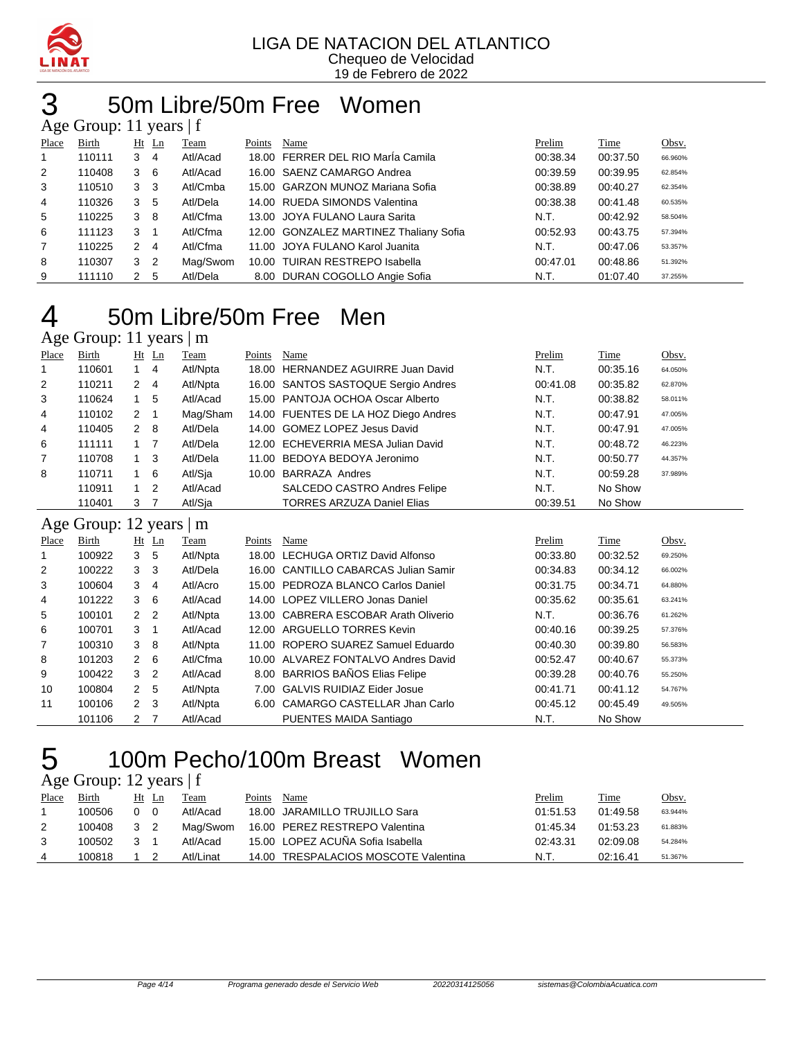

19 de Febrero de 2022

#### 3 50m Libre/50m Free Women  $m: 11$  years | f

| $\Delta$ gu Oroup. 11 yuars $\pm$ |        |            |                            |          |        |                                        |          |          |         |  |  |  |
|-----------------------------------|--------|------------|----------------------------|----------|--------|----------------------------------------|----------|----------|---------|--|--|--|
| Place                             | Birth  |            | $Ht$ Ln                    | Team     | Points | Name                                   | Prelim   | Time     | Obsv.   |  |  |  |
|                                   | 110111 | 3          | $\overline{4}$             | Atl/Acad |        | 18.00 FERRER DEL RIO Marla Camila      | 00:38.34 | 00:37.50 | 66.960% |  |  |  |
| 2                                 | 110408 | $3\quad 6$ |                            | Atl/Acad |        | 16.00 SAENZ CAMARGO Andrea             | 00:39.59 | 00:39.95 | 62.854% |  |  |  |
| 3                                 | 110510 | 3          | - 3                        | Atl/Cmba |        | 15.00 GARZON MUNOZ Mariana Sofia       | 00:38.89 | 00:40.27 | 62.354% |  |  |  |
| 4                                 | 110326 | 3          | -5                         | Atl/Dela |        | 14.00 RUEDA SIMONDS Valentina          | 00:38.38 | 00:41.48 | 60.535% |  |  |  |
| 5                                 | 110225 | 3          | - 8                        | Atl/Cfma |        | 13.00 JOYA FULANO Laura Sarita         | N.T.     | 00:42.92 | 58.504% |  |  |  |
| 6                                 | 111123 | 3          | $\overline{1}$             | Atl/Cfma |        | 12.00 GONZALEZ MARTINEZ Thaliany Sofia | 00:52.93 | 00:43.75 | 57.394% |  |  |  |
| $\overline{7}$                    | 110225 | 2          | $\overline{4}$             | Atl/Cfma |        | 11.00 JOYA FULANO Karol Juanita        | N.T.     | 00:47.06 | 53.357% |  |  |  |
| 8                                 | 110307 | 3          | $\overline{\phantom{0}}^2$ | Mag/Swom |        | 10.00 TUIRAN RESTREPO Isabella         | 00:47.01 | 00:48.86 | 51.392% |  |  |  |
| 9                                 | 111110 | 2          | -5                         | Atl/Dela |        | 8.00 DURAN COGOLLO Angie Sofia         | N.T.     | 01:07.40 | 37.255% |  |  |  |

## 50m Libre/50m Free Men

#### Age Group: 11 years | m

| Place | Birth                   | $Ht$ Ln        |                | Team     | Points | Name                                 | Prelim   | Time     | Obsv.   |
|-------|-------------------------|----------------|----------------|----------|--------|--------------------------------------|----------|----------|---------|
| 1     | 110601                  | $1 \quad$      | $\overline{4}$ | Atl/Npta | 18.00  | <b>HERNANDEZ AGUIRRE Juan David</b>  | N.T.     | 00:35.16 | 64.050% |
| 2     | 110211                  | $\mathbf{2}$   | 4              | Atl/Npta |        | 16.00 SANTOS SASTOQUE Sergio Andres  | 00:41.08 | 00:35.82 | 62.870% |
| 3     | 110624                  | $\mathbf{1}$   | 5              | Atl/Acad |        | 15.00 PANTOJA OCHOA Oscar Alberto    | N.T.     | 00:38.82 | 58.011% |
| 4     | 110102                  | $\overline{2}$ | $\mathbf{1}$   | Mag/Sham |        | 14.00 FUENTES DE LA HOZ Diego Andres | N.T.     | 00:47.91 | 47.005% |
| 4     | 110405                  | $\overline{2}$ | 8              | Atl/Dela |        | 14.00 GOMEZ LOPEZ Jesus David        | N.T.     | 00:47.91 | 47.005% |
| 6     | 111111                  | $\mathbf{1}$   | 7              | Atl/Dela |        | 12.00 ECHEVERRIA MESA Julian David   | N.T.     | 00:48.72 | 46.223% |
| 7     | 110708                  | $\mathbf{1}$   | 3              | Atl/Dela |        | 11.00 BEDOYA BEDOYA Jeronimo         | N.T.     | 00:50.77 | 44.357% |
| 8     | 110711                  | $\mathbf{1}$   | 6              | Atl/Sja  |        | 10.00 BARRAZA Andres                 | N.T.     | 00:59.28 | 37.989% |
|       | 110911                  | $\mathbf{1}$   | 2              | Atl/Acad |        | <b>SALCEDO CASTRO Andres Felipe</b>  | N.T.     | No Show  |         |
|       | 110401                  | 3 7            |                | Atl/Sja  |        | <b>TORRES ARZUZA Daniel Elias</b>    | 00:39.51 | No Show  |         |
|       | Age Group: 12 years   m |                |                |          |        |                                      |          |          |         |
|       |                         |                |                |          |        |                                      |          |          |         |
| Place | Birth                   |                |                | Team     | Points | Name                                 | Prelim   | Time     | Obsv.   |
| 1     | 100922                  | $Ht$ Ln<br>3   | 5              | Atl/Npta |        | 18.00 LECHUGA ORTIZ David Alfonso    | 00:33.80 | 00:32.52 | 69.250% |
| 2     | 100222                  | 3              | 3              | Atl/Dela |        | 16.00 CANTILLO CABARCAS Julian Samir | 00:34.83 | 00:34.12 | 66.002% |
| 3     | 100604                  | 3              | 4              | Atl/Acro |        | 15.00 PEDROZA BLANCO Carlos Daniel   | 00:31.75 | 00:34.71 | 64.880% |
| 4     | 101222                  | 3              | 6              | Atl/Acad |        | 14.00 LOPEZ VILLERO Jonas Daniel     | 00:35.62 | 00:35.61 | 63.241% |
| 5     | 100101                  | $\overline{2}$ | 2              | Atl/Npta |        | 13.00 CABRERA ESCOBAR Arath Oliverio | N.T.     | 00:36.76 | 61.262% |
| 6     | 100701                  | 3              | $\mathbf{1}$   | Atl/Acad |        | 12.00 ARGUELLO TORRES Kevin          | 00:40.16 | 00:39.25 | 57.376% |
| 7     | 100310                  | 3              | 8              | Atl/Npta |        | 11.00 ROPERO SUAREZ Samuel Eduardo   | 00:40.30 | 00:39.80 | 56.583% |
| 8     | 101203                  | $\overline{2}$ | 6              | Atl/Cfma |        | 10.00 ALVAREZ FONTALVO Andres David  | 00:52.47 | 00:40.67 | 55.373% |
| 9     | 100422                  | 3              | $\overline{2}$ | Atl/Acad |        | 8.00 BARRIOS BAÑOS Elias Felipe      | 00:39.28 | 00:40.76 | 55.250% |
| 10    | 100804                  | $\overline{2}$ | 5              | Atl/Npta |        | 7.00 GALVIS RUIDIAZ Eider Josue      | 00:41.71 | 00:41.12 | 54.767% |
| 11    | 100106                  | $\overline{2}$ | 3              | Atl/Npta |        | 6.00 CAMARGO CASTELLAR Jhan Carlo    | 00:45.12 | 00:45.49 | 49.505% |

### 100m Pecho/100m Breast Women

Age Group: 12 years | f

| Place | Birth  | Ht       | Ln | <b>Team</b> | Points | Name                                 | Prelim   | <b>Time</b> | Obsv.   |
|-------|--------|----------|----|-------------|--------|--------------------------------------|----------|-------------|---------|
|       | 100506 | $\Omega$ |    | Atl/Acad    |        | 18.00 JARAMILLO TRUJILLO Sara        | 01:51.53 | 01:49.58    | 63.944% |
| 2     | 100408 | 3 2      |    | Maɑ/Swom    |        | 16.00 PEREZ RESTREPO Valentina       | 01:45.34 | 01:53.23    | 61.883% |
|       | 100502 | 3 1      |    | Atl/Acad    |        | 15.00 LOPEZ ACUÑA Sofia Isabella     | 02:43.31 | 02:09.08    | 54.284% |
| 4     | 100818 |          |    | Atl/Linat   |        | 14.00 TRESPALACIOS MOSCOTE Valentina | N.T.     | 02:16.41    | 51.367% |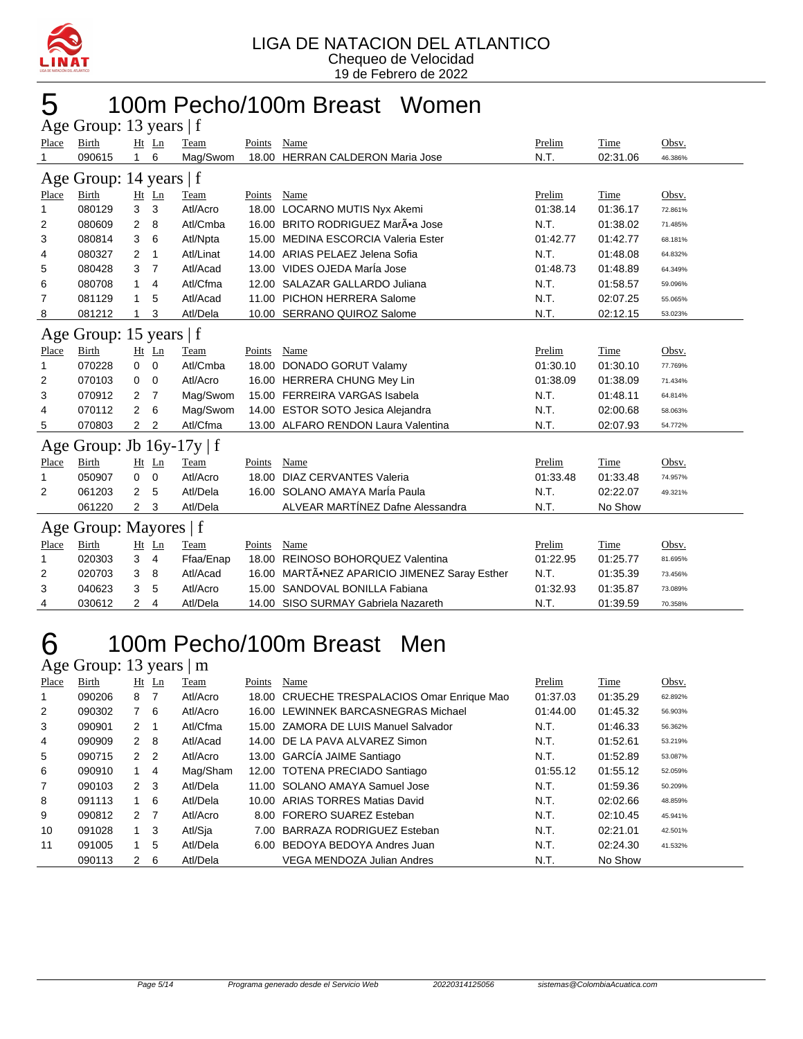

## 100m Pecho/100m Breast Women

| Age Group: 13 years   f |                            |                |                |             |        |                                         |          |          |         |  |
|-------------------------|----------------------------|----------------|----------------|-------------|--------|-----------------------------------------|----------|----------|---------|--|
| Place                   | <b>Birth</b>               |                | Ht Ln          | Team        | Points | Name                                    | Prelim   | Time     | Obsv.   |  |
|                         | 090615                     | 1.             | 6              | Mag/Swom    |        | 18.00 HERRAN CALDERON Maria Jose        | N.T.     | 02:31.06 | 46.386% |  |
| Age                     | Group: 14 years $ f $      |                |                |             |        |                                         |          |          |         |  |
| Place                   | <b>Birth</b>               |                | $Ht$ Ln        | Team        | Points | Name                                    | Prelim   | Time     | Obsv.   |  |
| 1                       | 080129                     | 3              | 3              | Atl/Acro    |        | 18.00 LOCARNO MUTIS Nyx Akemi           | 01:38.14 | 01:36.17 | 72.861% |  |
| 2                       | 080609                     | 2              | 8              | Atl/Cmba    |        | 16.00 BRITO RODRIGUEZ MarÃ.a Jose       | N.T.     | 01:38.02 | 71.485% |  |
| 3                       | 080814                     | 3              | 6              | Atl/Npta    |        | 15.00 MEDINA ESCORCIA Valeria Ester     | 01:42.77 | 01:42.77 | 68.181% |  |
| 4                       | 080327                     | 2              | $\mathbf 1$    | Atl/Linat   |        | 14.00 ARIAS PELAEZ Jelena Sofia         | N.T.     | 01:48.08 | 64.832% |  |
| 5                       | 080428                     | 3              | $\overline{7}$ | Atl/Acad    |        | 13.00 VIDES OJEDA MarÍa Jose            | 01:48.73 | 01:48.89 | 64.349% |  |
| 6                       | 080708                     | 1              | 4              | Atl/Cfma    |        | 12.00 SALAZAR GALLARDO Juliana          | N.T.     | 01:58.57 | 59.096% |  |
| 7                       | 081129                     | 1              | 5              | Atl/Acad    |        | 11.00 PICHON HERRERA Salome             | N.T.     | 02:07.25 | 55.065% |  |
| 8                       | 081212                     | 1              | 3              | Atl/Dela    |        | 10.00 SERRANO QUIROZ Salome             | N.T.     | 02:12.15 | 53.023% |  |
| Age                     | Group: 15 years $ f $      |                |                |             |        |                                         |          |          |         |  |
| Place                   | <b>Birth</b>               |                | $Ht$ Ln        | Team        | Points | Name                                    | Prelim   | Time     | Obsv.   |  |
| 1                       | 070228                     | 0              | 0              | Atl/Cmba    |        | 18.00 DONADO GORUT Valamy               | 01:30.10 | 01:30.10 | 77.769% |  |
| 2                       | 070103                     | 0              | 0              | Atl/Acro    |        | 16.00 HERRERA CHUNG Mey Lin             | 01:38.09 | 01:38.09 | 71.434% |  |
| 3                       | 070912                     | 2              | 7              | Mag/Swom    |        | 15.00 FERREIRA VARGAS Isabela           | N.T.     | 01:48.11 | 64.814% |  |
| 4                       | 070112                     | 2              | 6              | Mag/Swom    |        | 14.00 ESTOR SOTO Jesica Alejandra       | N.T.     | 02:00.68 | 58.063% |  |
| 5                       | 070803                     | $\overline{2}$ | 2              | Atl/Cfma    |        | 13.00 ALFARO RENDON Laura Valentina     | N.T.     | 02:07.93 | 54.772% |  |
| Age                     | Group: Jb $16y-17y \mid f$ |                |                |             |        |                                         |          |          |         |  |
| Place                   | <b>Birth</b>               |                | Ht Ln          | Team        | Points | Name                                    | Prelim   | Time     | Obsv.   |  |
| 1                       | 050907                     | 0              | $\mathbf 0$    | Atl/Acro    | 18.00  | DIAZ CERVANTES Valeria                  | 01:33.48 | 01:33.48 | 74.957% |  |
| 2                       | 061203                     | 2              | 5              | Atl/Dela    |        | 16.00 SOLANO AMAYA MarÍa Paula          | N.T.     | 02:22.07 | 49.321% |  |
|                         | 061220                     | 2              | 3              | Atl/Dela    |        | ALVEAR MARTÍNEZ Dafne Alessandra        | N.T.     | No Show  |         |  |
|                         | Age Group: Mayores   f     |                |                |             |        |                                         |          |          |         |  |
| <b>Place</b>            | <b>Birth</b>               |                | Ht Ln          | <b>Team</b> | Points | Name                                    | Prelim   | Time     | Obsv.   |  |
| 1                       | 020303                     | 3              | $\overline{4}$ | Ffaa/Enap   |        | 18.00 REINOSO BOHORQUEZ Valentina       | 01:22.95 | 01:25.77 | 81.695% |  |
| 2                       | 020703                     | 3              | 8              | Atl/Acad    | 16.00  | MARTÃ.NEZ APARICIO JIMENEZ Saray Esther | N.T.     | 01:35.39 | 73.456% |  |
| 3                       | 040623                     | 3              | 5              | Atl/Acro    |        | 15.00 SANDOVAL BONILLA Fabiana          | 01:32.93 | 01:35.87 | 73.089% |  |
| 4                       | 030612                     | 2              | 4              | Atl/Dela    |        | 14.00 SISO SURMAY Gabriela Nazareth     | N.T.     | 01:39.59 | 70.358% |  |

### 100m Pecho/100m Breast Men

Age Group: 13 years | m

| Place          | Birth  |                | $Ht$ Ln | Team     | Points | Name                                        | Prelim   | Time     | Obsv.   |
|----------------|--------|----------------|---------|----------|--------|---------------------------------------------|----------|----------|---------|
| 1              | 090206 | 8              | 7       | Atl/Acro |        | 18.00 CRUECHE TRESPALACIOS Omar Enrique Mao | 01:37.03 | 01:35.29 | 62.892% |
| $\overline{2}$ | 090302 | $7^{\circ}$    | -6      | Atl/Acro |        | 16.00 LEWINNEK BARCASNEGRAS Michael         | 01:44.00 | 01:45.32 | 56.903% |
| 3              | 090901 | 2              |         | Atl/Cfma |        | 15.00 ZAMORA DE LUIS Manuel Salvador        | N.T.     | 01:46.33 | 56.362% |
| 4              | 090909 | $\mathbf{2}$   | 8       | Atl/Acad |        | 14.00 DE LA PAVA ALVAREZ Simon              | N.T.     | 01:52.61 | 53.219% |
| 5              | 090715 | 2 <sub>2</sub> |         | Atl/Acro |        | 13.00 GARCÍA JAIME Santiago                 | N.T.     | 01:52.89 | 53.087% |
| 6              | 090910 | $\mathbf{1}$   | 4       | Mag/Sham |        | 12.00 TOTENA PRECIADO Santiago              | 01:55.12 | 01:55.12 | 52.059% |
| 7              | 090103 | 2 <sub>3</sub> |         | Atl/Dela |        | 11.00 SOLANO AMAYA Samuel Jose              | N.T.     | 01:59.36 | 50.209% |
| 8              | 091113 | 1              | 6       | Atl/Dela |        | 10.00 ARIAS TORRES Matias David             | N.T.     | 02:02.66 | 48.859% |
| 9              | 090812 | 2 <sub>7</sub> |         | Atl/Acro |        | 8.00 FORERO SUAREZ Esteban                  | N.T.     | 02:10.45 | 45.941% |
| 10             | 091028 | 1              | 3       | Atl/Sja  | 7.00   | BARRAZA RODRIGUEZ Esteban                   | N.T.     | 02:21.01 | 42.501% |
| 11             | 091005 | $\mathbf{1}$   | 5       | Atl/Dela |        | 6.00 BEDOYA BEDOYA Andres Juan              | N.T.     | 02:24.30 | 41.532% |
|                | 090113 | 2              | 6       | Atl/Dela |        | VEGA MENDOZA Julian Andres                  | N.T.     | No Show  |         |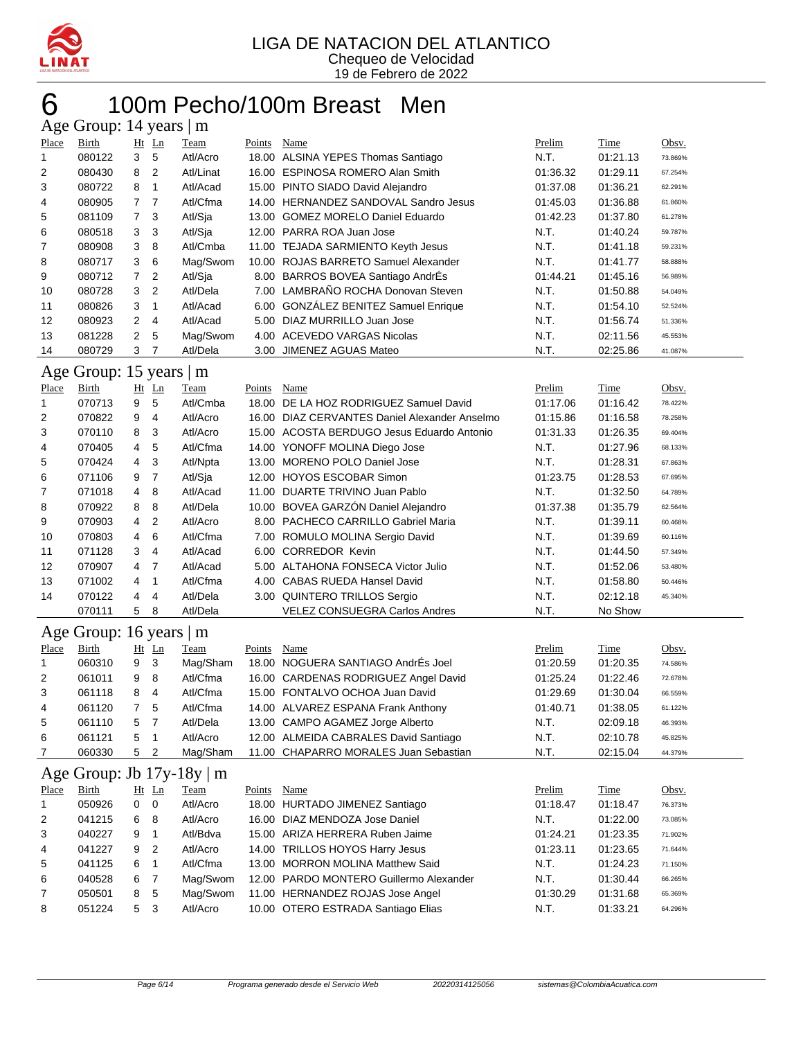

#### 6 100m Pecho/100m Breast Men  $. 14$  years |

| $\Delta \xi$ c Oroup. 14 years $\mu$ III |        |                |                |           |        |                                       |          |          |         |  |  |
|------------------------------------------|--------|----------------|----------------|-----------|--------|---------------------------------------|----------|----------|---------|--|--|
| Place                                    | Birth  |                | $Ht$ Ln        | Team      | Points | Name                                  | Prelim   | Time     | Obsv.   |  |  |
|                                          | 080122 | 3              | -5             | Atl/Acro  |        | 18.00 ALSINA YEPES Thomas Santiago    | N.T.     | 01:21.13 | 73.869% |  |  |
| 2                                        | 080430 | 8              | 2              | Atl/Linat |        | 16.00 ESPINOSA ROMERO Alan Smith      | 01:36.32 | 01:29.11 | 67.254% |  |  |
| 3                                        | 080722 | 8              |                | Atl/Acad  |        | 15.00 PINTO SIADO David Alejandro     | 01:37.08 | 01:36.21 | 62.291% |  |  |
| 4                                        | 080905 | 7 <sub>7</sub> |                | Atl/Cfma  |        | 14.00 HERNANDEZ SANDOVAL Sandro Jesus | 01:45.03 | 01:36.88 | 61.860% |  |  |
| 5                                        | 081109 | 7 <sup>3</sup> |                | Atl/Sia   |        | 13.00 GOMEZ MORELO Daniel Eduardo     | 01:42.23 | 01:37.80 | 61.278% |  |  |
| 6                                        | 080518 | 3              | -3             | Atl/Sia   |        | 12.00 PARRA ROA Juan Jose             | N.T.     | 01:40.24 | 59.787% |  |  |
| 7                                        | 080908 | 3              | - 8            | Atl/Cmba  |        | 11.00 TEJADA SARMIENTO Keyth Jesus    | N.T.     | 01:41.18 | 59.231% |  |  |
| 8                                        | 080717 | 3              | - 6            | Mag/Swom  |        | 10.00 ROJAS BARRETO Samuel Alexander  | N.T.     | 01:41.77 | 58.888% |  |  |
| 9                                        | 080712 | 7 <sup>2</sup> |                | Atl/Sia   |        | 8.00 BARROS BOVEA Santiago AndrEs     | 01:44.21 | 01:45.16 | 56.989% |  |  |
| 10                                       | 080728 | 3              | $\overline{2}$ | Atl/Dela  |        | 7.00 LAMBRAÑO ROCHA Donovan Steven    | N.T.     | 01:50.88 | 54.049% |  |  |
| 11                                       | 080826 | 3              | $\overline{1}$ | Atl/Acad  |        | 6.00 GONZÁLEZ BENITEZ Samuel Enrique  | N.T.     | 01:54.10 | 52.524% |  |  |
| 12                                       | 080923 | $\mathbf{2}$   | $\overline{4}$ | Atl/Acad  |        | 5.00 DIAZ MURRILLO Juan Jose          | N.T.     | 01:56.74 | 51.336% |  |  |
| 13                                       | 081228 | $\mathbf{2}$   | 5              | Mag/Swom  | 4.00   | <b>ACEVEDO VARGAS Nicolas</b>         | N.T.     | 02:11.56 | 45.553% |  |  |
| 14                                       | 080729 | 3              | 7              | Atl/Dela  |        | 3.00 JIMENEZ AGUAS Mateo              | N.T.     | 02:25.86 | 41.087% |  |  |

#### Age Group: 15 years | m

| Place          | Birth  |                | $Ht$ Ln        | Team     | Points | Name                                          | Prelim   | Time     | Obsv.   |
|----------------|--------|----------------|----------------|----------|--------|-----------------------------------------------|----------|----------|---------|
| 1              | 070713 | 9              | 5              | Atl/Cmba | 18.00  | DE LA HOZ RODRIGUEZ Samuel David              | 01:17.06 | 01:16.42 | 78.422% |
| $\overline{2}$ | 070822 | 9              | 4              | Atl/Acro |        | 16.00 DIAZ CERVANTES Daniel Alexander Anselmo | 01:15.86 | 01:16.58 | 78.258% |
| 3              | 070110 | 8              | 3              | Atl/Acro |        | 15.00 ACOSTA BERDUGO Jesus Eduardo Antonio    | 01:31.33 | 01:26.35 | 69.404% |
| 4              | 070405 | 4              | 5              | Atl/Cfma |        | 14.00 YONOFF MOLINA Diego Jose                | N.T.     | 01:27.96 | 68.133% |
| 5              | 070424 | $\overline{4}$ | 3              | Atl/Npta |        | 13.00 MORENO POLO Daniel Jose                 | N.T.     | 01:28.31 | 67.863% |
| 6              | 071106 | 9              | 7              | Atl/Sia  |        | 12.00 HOYOS ESCOBAR Simon                     | 01:23.75 | 01:28.53 | 67.695% |
| 7              | 071018 | $\overline{4}$ | -8             | Atl/Acad |        | 11.00 DUARTE TRIVINO Juan Pablo               | N.T.     | 01:32.50 | 64.789% |
| 8              | 070922 | 8              | -8             | Atl/Dela |        | 10.00 BOVEA GARZÓN Daniel Alejandro           | 01:37.38 | 01:35.79 | 62.564% |
| 9              | 070903 | 4              | $\overline{2}$ | Atl/Acro |        | 8.00 PACHECO CARRILLO Gabriel Maria           | N.T.     | 01:39.11 | 60.468% |
| 10             | 070803 | $\overline{4}$ | 6              | Atl/Cfma |        | 7.00 ROMULO MOLINA Sergio David               | N.T.     | 01:39.69 | 60.116% |
| 11             | 071128 | 3              | $\overline{4}$ | Atl/Acad |        | 6.00 CORREDOR Kevin                           | N.T.     | 01:44.50 | 57.349% |
| 12             | 070907 | 4 7            |                | Atl/Acad |        | 5.00 ALTAHONA FONSECA Victor Julio            | N.T.     | 01:52.06 | 53.480% |
| 13             | 071002 | 4              | -1             | Atl/Cfma |        | 4.00 CABAS RUEDA Hansel David                 | N.T.     | 01:58.80 | 50.446% |
| 14             | 070122 | $\overline{4}$ | 4              | Atl/Dela |        | 3.00 QUINTERO TRILLOS Sergio                  | N.T.     | 02:12.18 | 45.340% |
|                | 070111 | 5              | 8              | Atl/Dela |        | <b>VELEZ CONSUEGRA Carlos Andres</b>          | N.T.     | No Show  |         |

#### Age Group: 16 years | m

| Place          | Birth  |   | $Ht$ Ln | Team     | Points | Name                                  | Prelim   | Time     | Obsv.   |
|----------------|--------|---|---------|----------|--------|---------------------------------------|----------|----------|---------|
|                | 060310 | 9 | -3      | Mag/Sham |        | 18.00 NOGUERA SANTIAGO AndrÉs Joel    | 01:20.59 | 01:20.35 | 74.586% |
| 2              | 061011 | 9 | - 8     | Atl/Cfma |        | 16.00 CARDENAS RODRIGUEZ Angel David  | 01:25.24 | 01:22.46 | 72.678% |
| 3              | 061118 | 8 | 4       | Atl/Cfma |        | 15.00 FONTALVO OCHOA Juan David       | 01:29.69 | 01:30.04 | 66.559% |
| $\overline{4}$ | 061120 |   | 5       | Atl/Cfma |        | 14.00 ALVAREZ ESPANA Frank Anthony    | 01:40.71 | 01:38.05 | 61.122% |
| 5              | 061110 | 5 |         | Atl/Dela |        | 13.00 CAMPO AGAMEZ Jorge Alberto      | N.T.     | 02:09.18 | 46.393% |
| 6              | 061121 | 5 |         | Atl/Acro |        | 12.00 ALMEIDA CABRALES David Santiago | N.T.     | 02:10.78 | 45.825% |
|                | 060330 | 5 | -2      | Mag/Sham |        | 11.00 CHAPARRO MORALES Juan Sebastian | N.T.     | 02:15.04 | 44.379% |

#### Age Group: Jb  $17v-18v \mid m$

| Place          | Birth  | $Ht$ Ln             | Team     | Points | Name                                    | Prelim   | <b>Time</b> | Obsv.   |
|----------------|--------|---------------------|----------|--------|-----------------------------------------|----------|-------------|---------|
|                | 050926 | $0\quad 0$          | Atl/Acro |        | 18.00 HURTADO JIMENEZ Santiago          | 01:18.47 | 01:18.47    | 76.373% |
| 2              | 041215 | 6<br>- 8            | Atl/Acro |        | 16.00 DIAZ MENDOZA Jose Daniel          | N.T.     | 01:22.00    | 73.085% |
| 3              | 040227 | 9                   | Atl/Bdva |        | 15.00 ARIZA HERRERA Ruben Jaime         | 01:24.21 | 01:23.35    | 71.902% |
| 4              | 041227 | $\overline{2}$<br>9 | Atl/Acro |        | 14.00 TRILLOS HOYOS Harry Jesus         | 01:23.11 | 01:23.65    | 71.644% |
| 5              | 041125 | 6                   | Atl/Cfma |        | 13.00 MORRON MOLINA Matthew Said        | N.T.     | 01:24.23    | 71.150% |
| 6              | 040528 | 6 7                 | Mag/Swom |        | 12.00 PARDO MONTERO Guillermo Alexander | N.T.     | 01:30.44    | 66.265% |
| $\overline{7}$ | 050501 | 8 5                 | Mag/Swom |        | 11.00 HERNANDEZ ROJAS Jose Angel        | 01:30.29 | 01:31.68    | 65.369% |
| 8              | 051224 | 5 3                 | Atl/Acro |        | 10.00 OTERO ESTRADA Santiago Elias      | N.T.     | 01:33.21    | 64.296% |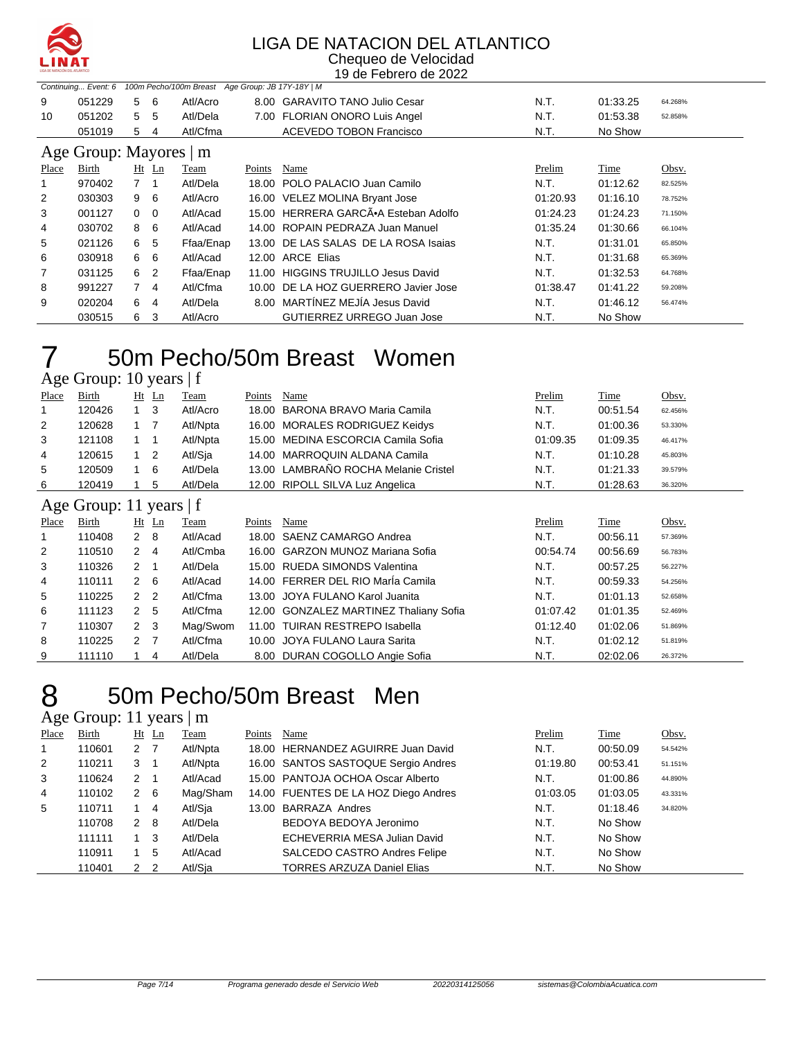

#### LIGA DE NATACION DEL ATLANTICO Chequeo de Velocidad

19 de Febrero de 2022

|       | Continuing Event: 6    |                |                         | 100m Pecho/100m Breast Age Group: JB 17Y-18Y   M |        |                                      |          |          |         |
|-------|------------------------|----------------|-------------------------|--------------------------------------------------|--------|--------------------------------------|----------|----------|---------|
| 9     | 051229                 | 5.             | -6                      | Atl/Acro                                         |        | 8.00 GARAVITO TANO Julio Cesar       | N.T.     | 01:33.25 | 64.268% |
| 10    | 051202                 | 5              | -5                      | Atl/Dela                                         |        | 7.00 FLORIAN ONORO Luis Angel        | N.T.     | 01:53.38 | 52.858% |
|       | 051019                 | 5              | 4                       | Atl/Cfma                                         |        | <b>ACEVEDO TOBON Francisco</b>       | N.T.     | No Show  |         |
|       | Age Group: Mayores   m |                |                         |                                                  |        |                                      |          |          |         |
| Place | Birth                  |                | Ht Ln                   | Team                                             | Points | Name                                 | Prelim   | Time     | Obsv.   |
|       | 970402                 | 7 <sub>1</sub> |                         | Atl/Dela                                         |        | 18.00 POLO PALACIO Juan Camilo       | N.T.     | 01:12.62 | 82.525% |
| 2     | 030303                 | 9              | - 6                     | Atl/Acro                                         |        | 16.00 VELEZ MOLINA Bryant Jose       | 01:20.93 | 01:16.10 | 78.752% |
| 3     | 001127                 | $\Omega$       | $\overline{\mathbf{0}}$ | Atl/Acad                                         |        | 15.00 HERRERA GARCÃ. Esteban Adolfo  | 01:24.23 | 01:24.23 | 71.150% |
| 4     | 030702                 | 8              | -6                      | Atl/Acad                                         |        | 14.00 ROPAIN PEDRAZA Juan Manuel     | 01:35.24 | 01:30.66 | 66.104% |
| 5     | 021126                 | 6              | 5                       | Ffaa/Enap                                        |        | 13.00 DE LAS SALAS DE LA ROSA Isaias | N.T.     | 01:31.01 | 65.850% |
| 6     | 030918                 | 6              | - 6                     | Atl/Acad                                         |        | 12.00 ARCE Elias                     | N.T.     | 01:31.68 | 65.369% |
| 7     | 031125                 | 6              | $\overline{2}$          | Ffaa/Enap                                        |        | 11.00 HIGGINS TRUJILLO Jesus David   | N.T.     | 01:32.53 | 64.768% |
| 8     | 991227                 | $7^{\circ}$    | 4                       | Atl/Cfma                                         |        | 10.00 DE LA HOZ GUERRERO Javier Jose | 01:38.47 | 01:41.22 | 59.208% |
| 9     | 020204                 | 6              | 4                       | Atl/Dela                                         |        | 8.00 MARTÍNEZ MEJÍA Jesus David      | N.T.     | 01:46.12 | 56.474% |
|       | 030515                 | 6              | 3                       | Atl/Acro                                         |        | GUTIERREZ URREGO Juan Jose           | N.T.     | No Show  |         |

## 50m Pecho/50m Breast Women

Age Group: 10 years | f

| Place          | Birth                   |                      | $Ht$ Ln        | Team     | Points | Name                                   | Prelim   | Time     | Obsv.   |
|----------------|-------------------------|----------------------|----------------|----------|--------|----------------------------------------|----------|----------|---------|
| 1              | 120426                  |                      | -3             | Atl/Acro | 18.00  | BARONA BRAVO Maria Camila              | N.T.     | 00:51.54 | 62.456% |
| 2              | 120628                  | $1 \quad 7$          |                | Atl/Npta |        | 16.00 MORALES RODRIGUEZ Keidys         | N.T.     | 01:00.36 | 53.330% |
| 3              | 121108                  | $1 \quad 1$          |                | Atl/Npta |        | 15.00 MEDINA ESCORCIA Camila Sofia     | 01:09.35 | 01:09.35 | 46.417% |
| 4              | 120615                  | $1\quad 2$           |                | Atl/Sja  | 14.00  | MARROQUIN ALDANA Camila                | N.T.     | 01:10.28 | 45.803% |
| 5              | 120509                  | 1                    | 6              | Atl/Dela |        | 13.00 LAMBRAÑO ROCHA Melanie Cristel   | N.T.     | 01:21.33 | 39.579% |
| 6              | 120419                  |                      | 5              | Atl/Dela |        | 12.00 RIPOLL SILVA Luz Angelica        | N.T.     | 01:28.63 | 36.320% |
|                | Age Group: 11 years   f |                      |                |          |        |                                        |          |          |         |
| Place          | Birth                   |                      | $Ht$ Ln        | Team     | Points | Name                                   | Prelim   | Time     | Obsv.   |
| 1              | 110408                  | $\mathbf{2}$         | - 8            | Atl/Acad | 18.00  | <b>SAENZ CAMARGO Andrea</b>            | N.T.     | 00:56.11 | 57.369% |
| $\overline{2}$ | 110510                  | 2                    | $\overline{4}$ | Atl/Cmba | 16.00  | <b>GARZON MUNOZ Mariana Sofia</b>      | 00:54.74 | 00:56.69 | 56.783% |
| 3              | 110326                  | 2                    | -1             | Atl/Dela |        | 15.00 RUEDA SIMONDS Valentina          | N.T.     | 00:57.25 | 56.227% |
| 4              | 110111                  | 2                    | - 6            | Atl/Acad |        | 14.00 FERRER DEL RIO María Camila      | N.T.     | 00:59.33 | 54.256% |
| 5              | 110225                  | $\mathcal{P}$        | 2              | Atl/Cfma |        | 13.00 JOYA FULANO Karol Juanita        | N.T.     | 01:01.13 | 52.658% |
| 6              | 111123                  | $\mathbf{2}^{\circ}$ | 5              | Atl/Cfma |        | 12.00 GONZALEZ MARTINEZ Thaliany Sofia | 01:07.42 | 01:01.35 | 52.469% |
| 7              | 110307                  | $2 \quad 3$          |                | Mag/Swom |        | 11.00 TUIRAN RESTREPO Isabella         | 01:12.40 | 01:02.06 | 51.869% |
| 8              | 110225                  | $\mathbf{2}$         | - 7            | Atl/Cfma |        | 10.00 JOYA FULANO Laura Sarita         | N.T.     | 01:02.12 | 51.819% |
| 9              | 111110                  |                      | 4              | Atl/Dela |        | 8.00 DURAN COGOLLO Angie Sofia         | N.T.     | 02:02.06 | 26.372% |

### 50m Pecho/50m Breast Men

#### Age Group: 11 years | m

| Place          | Birth  |                      | $Ht$ Ln        | Team     | Points | Name                                 | Prelim   | Time     | Obsv.   |
|----------------|--------|----------------------|----------------|----------|--------|--------------------------------------|----------|----------|---------|
| $\mathbf{1}$   | 110601 | $\mathbf{2}^{\circ}$ | $\overline{7}$ | Atl/Npta |        | 18.00 HERNANDEZ AGUIRRE Juan David   | N.T.     | 00:50.09 | 54.542% |
| 2              | 110211 | 3                    |                | Atl/Npta |        | 16.00 SANTOS SASTOQUE Sergio Andres  | 01:19.80 | 00:53.41 | 51.151% |
| 3              | 110624 | $\mathbf{2}$         |                | Atl/Acad |        | 15.00 PANTOJA OCHOA Oscar Alberto    | N.T.     | 01:00.86 | 44.890% |
| $\overline{4}$ | 110102 | $\overline{2}$       | - 6            | Mag/Sham |        | 14.00 FUENTES DE LA HOZ Diego Andres | 01:03.05 | 01:03.05 | 43.331% |
| 5              | 110711 |                      | -4             | Atl/Sja  |        | 13.00 BARRAZA Andres                 | N.T.     | 01:18.46 | 34.820% |
|                | 110708 | $\overline{2}$       | - 8            | Atl/Dela |        | BEDOYA BEDOYA Jeronimo               | N.T.     | No Show  |         |
|                | 111111 |                      | - 3            | Atl/Dela |        | ECHEVERRIA MESA Julian David         | N.T.     | No Show  |         |
|                | 110911 |                      | 5              | Atl/Acad |        | SALCEDO CASTRO Andres Felipe         | N.T.     | No Show  |         |
|                | 110401 | 2 <sub>2</sub>       |                | Atl/Sia  |        | <b>TORRES ARZUZA Daniel Elias</b>    | N.T.     | No Show  |         |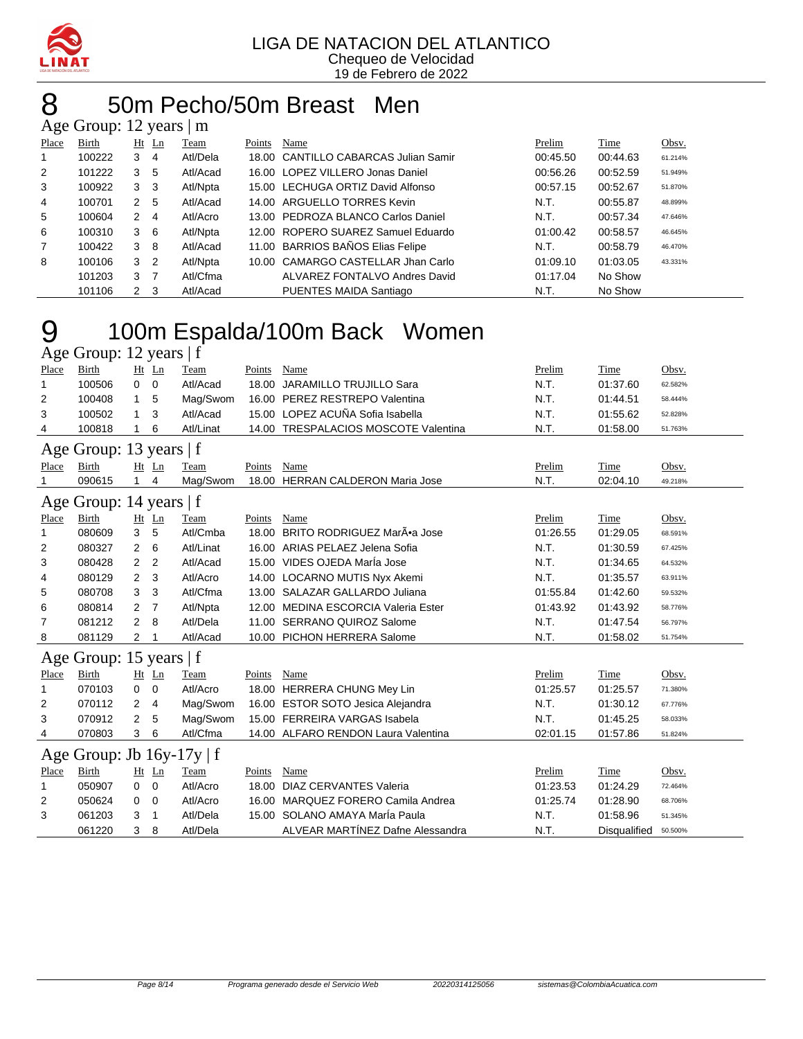

# 50m Pecho/50m Breast Men

|                | Age Group: 12 years   m |                |         |          |        |                                      |          |          |         |  |  |
|----------------|-------------------------|----------------|---------|----------|--------|--------------------------------------|----------|----------|---------|--|--|
| Place          | Birth                   |                | $Ht$ Ln | Team     | Points | Name                                 | Prelim   | Time     | Obsv.   |  |  |
|                | 100222                  | 3              | 4       | Atl/Dela |        | 18.00 CANTILLO CABARCAS Julian Samir | 00:45.50 | 00:44.63 | 61.214% |  |  |
| $\overline{2}$ | 101222                  | 3              | 5       | Atl/Acad |        | 16.00 LOPEZ VILLERO Jonas Daniel     | 00:56.26 | 00:52.59 | 51.949% |  |  |
| 3              | 100922                  | 3              | -3      | Atl/Npta |        | 15.00 LECHUGA ORTIZ David Alfonso    | 00:57.15 | 00:52.67 | 51.870% |  |  |
| 4              | 100701                  | 2              | 5       | Atl/Acad |        | 14.00 ARGUELLO TORRES Kevin          | N.T.     | 00:55.87 | 48.899% |  |  |
| 5              | 100604                  | $\mathbf{2}$   | 4       | Atl/Acro |        | 13.00 PEDROZA BLANCO Carlos Daniel   | N.T.     | 00:57.34 | 47.646% |  |  |
| 6              | 100310                  | 3              | - 6     | Atl/Npta |        | 12.00 ROPERO SUAREZ Samuel Eduardo   | 01:00.42 | 00:58.57 | 46.645% |  |  |
| $\overline{7}$ | 100422                  | 3              | -8      | Atl/Acad |        | 11.00 BARRIOS BAÑOS Elias Felipe     | N.T.     | 00:58.79 | 46.470% |  |  |
| 8              | 100106                  | 3              | -2      | Atl/Npta |        | 10.00 CAMARGO CASTELLAR Jhan Carlo   | 01:09.10 | 01:03.05 | 43.331% |  |  |
|                | 101203                  | 3              |         | Atl/Cfma |        | ALVAREZ FONTALVO Andres David        | 01:17.04 | No Show  |         |  |  |
|                | 101106                  | 2 <sub>3</sub> |         | Atl/Acad |        | PUENTES MAIDA Santiago               | N.T.     | No Show  |         |  |  |

# 100m Espalda/100m Back Women

|       | Age Group: 12 years   f        |                |                |           |        |                                      |          |                     |         |  |  |
|-------|--------------------------------|----------------|----------------|-----------|--------|--------------------------------------|----------|---------------------|---------|--|--|
| Place | <b>Birth</b>                   | Ht Ln          |                | Team      | Points | <b>Name</b>                          | Prelim   | Time                | Obsv.   |  |  |
| 1     | 100506                         | 0              | $\overline{0}$ | Atl/Acad  |        | 18.00 JARAMILLO TRUJILLO Sara        | N.T.     | 01:37.60            | 62.582% |  |  |
| 2     | 100408                         | 1              | 5              | Mag/Swom  |        | 16.00 PEREZ RESTREPO Valentina       | N.T.     | 01:44.51            | 58.444% |  |  |
| 3     | 100502                         | $\mathbf{1}$   | 3              | Atl/Acad  |        | 15.00 LOPEZ ACUÑA Sofia Isabella     | N.T.     | 01:55.62            | 52.828% |  |  |
| 4     | 100818                         | 1              | 6              | Atl/Linat |        | 14.00 TRESPALACIOS MOSCOTE Valentina | N.T.     | 01:58.00            | 51.763% |  |  |
|       | Age Group: 13 years   f        |                |                |           |        |                                      |          |                     |         |  |  |
| Place | Birth                          | Ht Ln          |                | Team      | Points | Name                                 | Prelim   | Time                | Obsv.   |  |  |
| 1     | 090615                         | $\mathbf{1}$   | 4              | Mag/Swom  | 18.00  | <b>HERRAN CALDERON Maria Jose</b>    | N.T.     | 02:04.10            | 49.218% |  |  |
|       | Age Group: 14 years   f        |                |                |           |        |                                      |          |                     |         |  |  |
| Place | Birth                          | $Ht$ Ln        |                | Team      | Points | Name                                 | Prelim   | Time                | Obsv.   |  |  |
| 1     | 080609                         | 3              | 5              | Atl/Cmba  |        | 18.00 BRITO RODRIGUEZ Mar•a Jose     | 01:26.55 | 01:29.05            | 68.591% |  |  |
| 2     | 080327                         | 2              | 6              | Atl/Linat |        | 16.00 ARIAS PELAEZ Jelena Sofia      | N.T.     | 01:30.59            | 67.425% |  |  |
| 3     | 080428                         | 2              | $\overline{2}$ | Atl/Acad  |        | 15.00 VIDES OJEDA MarÍa Jose         | N.T.     | 01:34.65            | 64.532% |  |  |
| 4     | 080129                         | 2              | 3              | Atl/Acro  |        | 14.00 LOCARNO MUTIS Nyx Akemi        | N.T.     | 01:35.57            | 63.911% |  |  |
| 5     | 080708                         | 3              | 3              | Atl/Cfma  |        | 13.00 SALAZAR GALLARDO Juliana       | 01:55.84 | 01:42.60            | 59.532% |  |  |
| 6     | 080814                         | $\overline{2}$ | 7              | Atl/Npta  |        | 12.00 MEDINA ESCORCIA Valeria Ester  | 01:43.92 | 01:43.92            | 58.776% |  |  |
| 7     | 081212                         | $\overline{2}$ | 8              | Atl/Dela  |        | 11.00 SERRANO QUIROZ Salome          | N.T.     | 01:47.54            | 56.797% |  |  |
| 8     | 081129                         | $\overline{2}$ |                | Atl/Acad  |        | 10.00 PICHON HERRERA Salome          | N.T.     | 01:58.02            | 51.754% |  |  |
|       | Age Group: 15 years   f        |                |                |           |        |                                      |          |                     |         |  |  |
| Place | Birth                          | Ht             | Ln             | Team      | Points | Name                                 | Prelim   | Time                | Obsv.   |  |  |
| 1     | 070103                         | 0              | 0              | Atl/Acro  |        | 18.00 HERRERA CHUNG Mey Lin          | 01:25.57 | 01:25.57            | 71.380% |  |  |
| 2     | 070112                         | 2              | 4              | Mag/Swom  |        | 16.00 ESTOR SOTO Jesica Alejandra    | N.T.     | 01:30.12            | 67.776% |  |  |
| 3     | 070912                         | 2              | 5              | Mag/Swom  |        | 15.00 FERREIRA VARGAS Isabela        | N.T.     | 01:45.25            | 58.033% |  |  |
| 4     | 070803                         | 3              | 6              | Atl/Cfma  |        | 14.00 ALFARO RENDON Laura Valentina  | 02:01.15 | 01:57.86            | 51.824% |  |  |
|       | Age Group: Jb $16y-17y \mid f$ |                |                |           |        |                                      |          |                     |         |  |  |
| Place | <b>Birth</b>                   | Ht Ln          |                | Team      | Points | Name                                 | Prelim   | Time                | Obsv.   |  |  |
| 1     | 050907                         | 0              | 0              | Atl/Acro  | 18.00  | <b>DIAZ CERVANTES Valeria</b>        | 01:23.53 | 01:24.29            | 72.464% |  |  |
| 2     | 050624                         | 0              | 0              | Atl/Acro  | 16.00  | MARQUEZ FORERO Camila Andrea         | 01:25.74 | 01:28.90            | 68.706% |  |  |
| 3     | 061203                         | 3              | 1              | Atl/Dela  |        | 15.00 SOLANO AMAYA MarÍa Paula       | N.T.     | 01:58.96            | 51.345% |  |  |
|       | 061220                         | 3              | 8              | Atl/Dela  |        | ALVEAR MARTÍNEZ Dafne Alessandra     | N.T.     | <b>Disqualified</b> | 50.500% |  |  |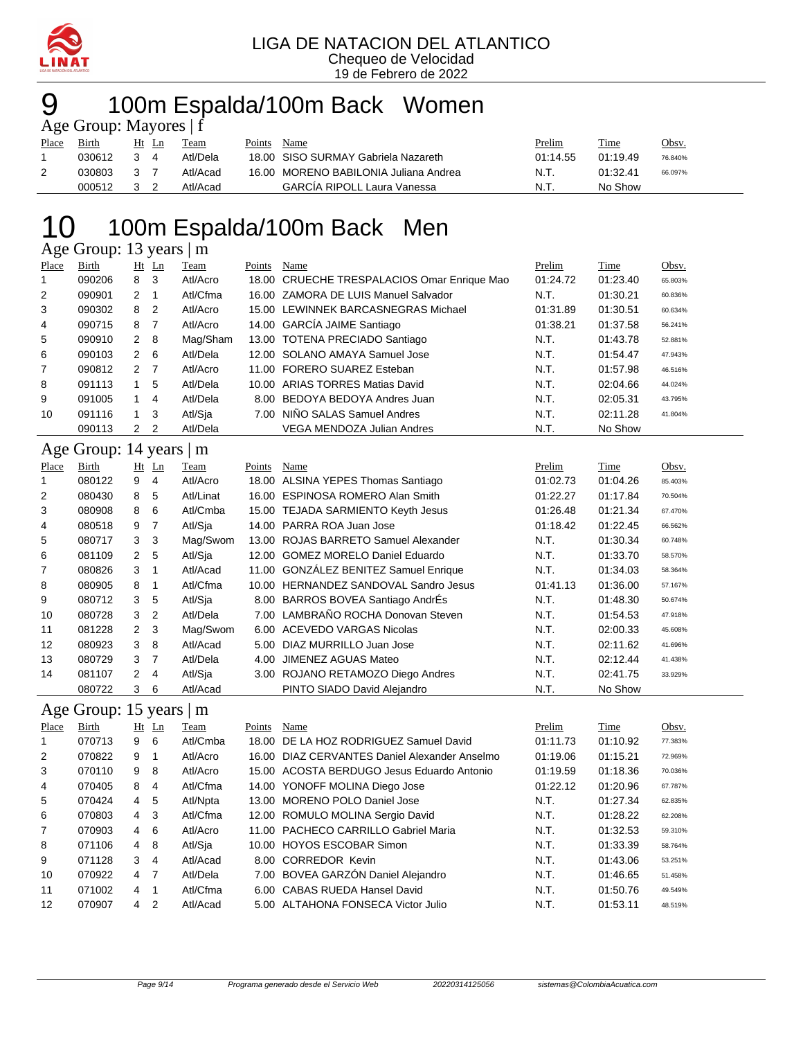

## 100m Espalda/100m Back Women

|       | Age Group: Mayores $ f $ |       |          |        |                                       |          |          |         |
|-------|--------------------------|-------|----------|--------|---------------------------------------|----------|----------|---------|
| Place | Birth                    | Ht Ln | Team     | Points | Name                                  | Prelim   | Time     | Obsv.   |
|       | 030612                   | 34    | Atl/Dela |        | 18.00 SISO SURMAY Gabriela Nazareth   | 01:14.55 | 01:19.49 | 76.840% |
| 2     | 030803                   | 3 Z   | Atl/Acad |        | 16.00 MORENO BABILONIA Juliana Andrea | N.T.     | 01:32.41 | 66.097% |
|       | 000512                   |       | Atl/Acad |        | <b>GARCIA RIPOLL Laura Vanessa</b>    | N.T      | No Show  |         |

### 10 100m Espalda/100m Back Men

Age Group: 13 years | m

| Place | Birth                   |                | $Ht$ Ln        | Team      | Points | Name                                          | Prelim   | Time     | Obsv.   |
|-------|-------------------------|----------------|----------------|-----------|--------|-----------------------------------------------|----------|----------|---------|
| 1     | 090206                  | 8              | 3              | Atl/Acro  |        | 18.00 CRUECHE TRESPALACIOS Omar Enrique Mao   | 01:24.72 | 01:23.40 | 65.803% |
| 2     | 090901                  | 2              | 1              | Atl/Cfma  |        | 16.00 ZAMORA DE LUIS Manuel Salvador          | N.T.     | 01:30.21 | 60.836% |
| 3     | 090302                  | 8              | 2              | Atl/Acro  |        | 15.00 LEWINNEK BARCASNEGRAS Michael           | 01:31.89 | 01:30.51 | 60.634% |
| 4     | 090715                  | 8              | $\overline{7}$ | Atl/Acro  |        | 14.00 GARCÍA JAIME Santiago                   | 01:38.21 | 01:37.58 | 56.241% |
| 5     | 090910                  | 2              | 8              | Mag/Sham  |        | 13.00 TOTENA PRECIADO Santiago                | N.T.     | 01:43.78 | 52.881% |
| 6     | 090103                  | $\overline{2}$ | 6              | Atl/Dela  |        | 12.00 SOLANO AMAYA Samuel Jose                | N.T.     | 01:54.47 | 47.943% |
| 7     | 090812                  | 2              | $\overline{7}$ | Atl/Acro  |        | 11.00 FORERO SUAREZ Esteban                   | N.T.     | 01:57.98 | 46.516% |
| 8     | 091113                  | 1              | 5              | Atl/Dela  |        | 10.00 ARIAS TORRES Matias David               | N.T.     | 02:04.66 | 44.024% |
| 9     | 091005                  | 1              | 4              | Atl/Dela  |        | 8.00 BEDOYA BEDOYA Andres Juan                | N.T.     | 02:05.31 | 43.795% |
| 10    | 091116                  | 1              | 3              | Atl/Sja   |        | 7.00 NIÑO SALAS Samuel Andres                 | N.T.     | 02:11.28 | 41.804% |
|       | 090113                  | $2^{\circ}$    | 2              | Atl/Dela  |        | <b>VEGA MENDOZA Julian Andres</b>             | N.T.     | No Show  |         |
|       | Age Group: 14 years   m |                |                |           |        |                                               |          |          |         |
| Place | Birth                   |                | $Ht$ Ln        | Team      | Points | Name                                          | Prelim   | Time     | Obsv.   |
| 1     | 080122                  | 9              | 4              | Atl/Acro  |        | 18.00 ALSINA YEPES Thomas Santiago            | 01:02.73 | 01:04.26 | 85.403% |
| 2     | 080430                  | 8              | 5              | Atl/Linat |        | 16.00 ESPINOSA ROMERO Alan Smith              | 01:22.27 | 01:17.84 | 70.504% |
| 3     | 080908                  | 8              | 6              | Atl/Cmba  |        | 15.00 TEJADA SARMIENTO Keyth Jesus            | 01:26.48 | 01:21.34 | 67.470% |
| 4     | 080518                  | 9              | $\overline{7}$ | Atl/Sja   |        | 14.00 PARRA ROA Juan Jose                     | 01:18.42 | 01:22.45 | 66.562% |
| 5     | 080717                  | 3              | 3              | Mag/Swom  |        | 13.00 ROJAS BARRETO Samuel Alexander          | N.T.     | 01:30.34 | 60.748% |
| 6     | 081109                  | $\overline{2}$ | 5              | Atl/Sja   |        | 12.00 GOMEZ MORELO Daniel Eduardo             | N.T.     | 01:33.70 | 58.570% |
| 7     | 080826                  | 3              | 1              | Atl/Acad  |        | 11.00 GONZÁLEZ BENITEZ Samuel Enrique         | N.T.     | 01:34.03 | 58.364% |
| 8     | 080905                  | 8              | 1              | Atl/Cfma  |        | 10.00 HERNANDEZ SANDOVAL Sandro Jesus         | 01:41.13 | 01:36.00 | 57.167% |
| 9     | 080712                  | 3              | 5              | Atl/Sja   |        | 8.00 BARROS BOVEA Santiago AndrÉs             | N.T.     | 01:48.30 | 50.674% |
| 10    | 080728                  | 3              | $\overline{2}$ | Atl/Dela  |        | 7.00 LAMBRAÑO ROCHA Donovan Steven            | N.T.     | 01:54.53 | 47.918% |
| 11    | 081228                  | $\overline{2}$ | 3              | Mag/Swom  |        | 6.00 ACEVEDO VARGAS Nicolas                   | N.T.     | 02:00.33 | 45.608% |
| 12    | 080923                  | 3              | 8              | Atl/Acad  | 5.00   | DIAZ MURRILLO Juan Jose                       | N.T.     | 02:11.62 | 41.696% |
| 13    | 080729                  | 3              | $\overline{7}$ | Atl/Dela  | 4.00   | JIMENEZ AGUAS Mateo                           | N.T.     | 02:12.44 | 41.438% |
| 14    | 081107                  | 2              | 4              | Atl/Sja   |        | 3.00 ROJANO RETAMOZO Diego Andres             | N.T.     | 02:41.75 | 33.929% |
|       | 080722                  | 3              | 6              | Atl/Acad  |        | PINTO SIADO David Alejandro                   | N.T.     | No Show  |         |
|       | Age Group: 15 years     |                |                | m         |        |                                               |          |          |         |
| Place | Birth                   |                | $Ht$ Ln        | Team      | Points | Name                                          | Prelim   | Time     | Obsv.   |
| 1     | 070713                  | 9              | 6              | Atl/Cmba  | 18.00  | DE LA HOZ RODRIGUEZ Samuel David              | 01:11.73 | 01:10.92 | 77.383% |
| 2     | 070822                  | 9              |                | Atl/Acro  |        | 16.00 DIAZ CERVANTES Daniel Alexander Anselmo | 01:19.06 | 01:15.21 | 72.969% |

| 2              | 070822 | 9 1         |             | Atl/Acro | 16.00 DIAZ CERVANTES Daniel Alexander Anselmo | 01:19.06 | 01:15.21 | 72.969% |
|----------------|--------|-------------|-------------|----------|-----------------------------------------------|----------|----------|---------|
| 3              | 070110 | 9           | - 8         | Atl/Acro | 15.00 ACOSTA BERDUGO Jesus Eduardo Antonio    | 01:19.59 | 01:18.36 | 70.036% |
| 4              | 070405 |             | 8 4         | Atl/Cfma | 14.00 YONOFF MOLINA Diego Jose                | 01:22.12 | 01:20.96 | 67.787% |
| 5              | 070424 |             | 4 5         | Atl/Npta | 13.00 MORENO POLO Daniel Jose                 | N.T.     | 01:27.34 | 62.835% |
| 6              | 070803 |             | $4 \quad 3$ | Atl/Cfma | 12.00 ROMULO MOLINA Sergio David              | N.T.     | 01:28.22 | 62.208% |
| $\overline{7}$ | 070903 |             | $4\quad 6$  | Atl/Acro | 11.00 PACHECO CARRILLO Gabriel Maria          | N.T.     | 01:32.53 | 59.310% |
| 8              | 071106 |             | 4 8         | Atl/Sja  | 10.00 HOYOS ESCOBAR Simon                     | N.T.     | 01:33.39 | 58.764% |
| 9              | 071128 |             | $3 \quad 4$ | Atl/Acad | 8.00 CORREDOR Kevin                           | N.T.     | 01:43.06 | 53.251% |
| 10             | 070922 |             | 4 7         | Atl/Dela | 7.00 BOVEA GARZÓN Daniel Alejandro            | N.T.     | 01:46.65 | 51.458% |
| 11             | 071002 | $4 \quad 1$ |             | Atl/Cfma | 6.00 CABAS RUEDA Hansel David                 | N.T.     | 01:50.76 | 49.549% |
| 12             | 070907 |             | $4\quad 2$  | Atl/Acad | 5.00 ALTAHONA FONSECA Victor Julio            | N.T.     | 01:53.11 | 48.519% |
|                |        |             |             |          |                                               |          |          |         |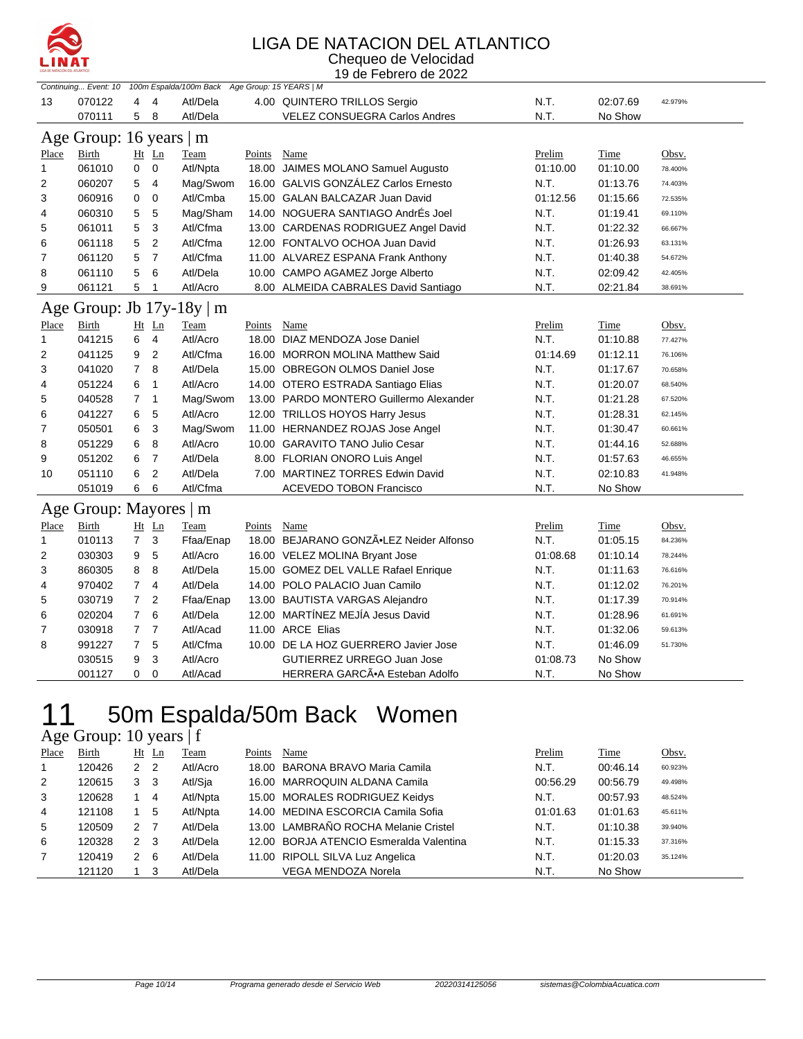

#### LIGA DE NATACION DEL ATLANTICO Chequeo de Velocidad

19 de Febrero de 2022

|       |                         |                |                | Continuing Event: 10 100m Espalda/100m Back Age Group: 15 YEARS   M |             |                                         |          |          |         |
|-------|-------------------------|----------------|----------------|---------------------------------------------------------------------|-------------|-----------------------------------------|----------|----------|---------|
| 13    | 070122                  | 4              | 4              | Atl/Dela                                                            |             | 4.00 QUINTERO TRILLOS Sergio            | N.T.     | 02:07.69 | 42.979% |
|       | 070111                  | 5              | 8              | Atl/Dela                                                            |             | <b>VELEZ CONSUEGRA Carlos Andres</b>    | N.T.     | No Show  |         |
|       | Age Group: 16 years   m |                |                |                                                                     |             |                                         |          |          |         |
| Place | Birth                   |                | Ht Ln          | Team                                                                | Points      | Name                                    | Prelim   | Time     | Obsv.   |
| 1     | 061010                  | 0              | $\mathbf 0$    | Atl/Npta                                                            |             | 18.00 JAIMES MOLANO Samuel Augusto      | 01:10.00 | 01:10.00 | 78.400% |
| 2     | 060207                  | 5              | $\overline{4}$ | Mag/Swom                                                            |             | 16.00 GALVIS GONZÁLEZ Carlos Ernesto    | N.T.     | 01:13.76 | 74.403% |
| 3     | 060916                  | 0              | $\mathbf 0$    | Atl/Cmba                                                            |             | 15.00 GALAN BALCAZAR Juan David         | 01:12.56 | 01:15.66 | 72.535% |
| 4     | 060310                  | 5              | 5              | Mag/Sham                                                            |             | 14.00 NOGUERA SANTIAGO AndrÉs Joel      | N.T.     | 01:19.41 | 69.110% |
| 5     | 061011                  | 5              | 3              | Atl/Cfma                                                            |             | 13.00 CARDENAS RODRIGUEZ Angel David    | N.T.     | 01:22.32 | 66.667% |
| 6     | 061118                  | 5              | $\overline{2}$ | Atl/Cfma                                                            |             | 12.00 FONTALVO OCHOA Juan David         | N.T.     | 01:26.93 | 63.131% |
| 7     | 061120                  | 5              | $\overline{7}$ | Atl/Cfma                                                            |             | 11.00 ALVAREZ ESPANA Frank Anthony      | N.T.     | 01:40.38 | 54.672% |
| 8     | 061110                  | 5              | 6              | Atl/Dela                                                            |             | 10.00 CAMPO AGAMEZ Jorge Alberto        | N.T.     | 02:09.42 | 42.405% |
| 9     | 061121                  | 5              | $\mathbf{1}$   | Atl/Acro                                                            |             | 8.00 ALMEIDA CABRALES David Santiago    | N.T.     | 02:21.84 | 38.691% |
|       |                         |                |                | Age Group: Jb 17y-18y   m                                           |             |                                         |          |          |         |
| Place | <b>Birth</b>            |                | Ht Ln          | Team                                                                | Points Name |                                         | Prelim   | Time     | Obsv.   |
| 1     | 041215                  | 6              | $\overline{4}$ | Atl/Acro                                                            |             | 18.00 DIAZ MENDOZA Jose Daniel          | N.T.     | 01:10.88 | 77.427% |
| 2     | 041125                  | 9              | 2              | Atl/Cfma                                                            |             | 16.00 MORRON MOLINA Matthew Said        | 01:14.69 | 01:12.11 | 76.106% |
| 3     | 041020                  | $\overline{7}$ | 8              | Atl/Dela                                                            |             | 15.00 OBREGON OLMOS Daniel Jose         | N.T.     | 01:17.67 | 70.658% |
| 4     | 051224                  | 6              | 1              | Atl/Acro                                                            |             | 14.00 OTERO ESTRADA Santiago Elias      | N.T.     | 01:20.07 | 68.540% |
| 5     | 040528                  | 7              | $\mathbf{1}$   | Mag/Swom                                                            |             | 13.00 PARDO MONTERO Guillermo Alexander | N.T.     | 01:21.28 | 67.520% |
| 6     | 041227                  | 6              | 5              | Atl/Acro                                                            |             | 12.00 TRILLOS HOYOS Harry Jesus         | N.T.     | 01:28.31 | 62.145% |
| 7     | 050501                  | 6              | 3              | Mag/Swom                                                            |             | 11.00 HERNANDEZ ROJAS Jose Angel        | N.T.     | 01:30.47 | 60.661% |
| 8     | 051229                  | 6              | 8              | Atl/Acro                                                            |             | 10.00 GARAVITO TANO Julio Cesar         | N.T.     | 01:44.16 | 52.688% |
| 9     | 051202                  | 6              | $\overline{7}$ | Atl/Dela                                                            |             | 8.00 FLORIAN ONORO Luis Angel           | N.T.     | 01:57.63 | 46.655% |
| 10    | 051110                  | 6              | 2              | Atl/Dela                                                            |             | 7.00 MARTINEZ TORRES Edwin David        | N.T.     | 02:10.83 | 41.948% |
|       | 051019                  | 6              | 6              | Atl/Cfma                                                            |             | <b>ACEVEDO TOBON Francisco</b>          | N.T.     | No Show  |         |
|       | Age Group: Mayores   m  |                |                |                                                                     |             |                                         |          |          |         |
| Place | Birth                   |                | $Ht$ Ln        | Team                                                                | Points      | Name                                    | Prelim   | Time     | Obsv.   |
| 1     | 010113                  | $\overline{7}$ | 3              | Ffaa/Enap                                                           |             | 18.00 BEJARANO GONZÃ.LEZ Neider Alfonso | N.T.     | 01:05.15 | 84.236% |
| 2     | 030303                  | 9              | 5              | Atl/Acro                                                            |             | 16.00 VELEZ MOLINA Bryant Jose          | 01:08.68 | 01:10.14 | 78.244% |
| 3     | 860305                  | 8              | 8              | Atl/Dela                                                            |             | 15.00 GOMEZ DEL VALLE Rafael Enrique    | N.T.     | 01:11.63 | 76.616% |
| 4     | 970402                  | $\overline{7}$ | $\overline{4}$ | Atl/Dela                                                            |             | 14.00 POLO PALACIO Juan Camilo          | N.T.     | 01:12.02 | 76.201% |
| 5     | 030719                  | 7              | $\overline{2}$ | Ffaa/Enap                                                           |             | 13.00 BAUTISTA VARGAS Alejandro         | N.T.     | 01:17.39 | 70.914% |
| 6     | 020204                  | $\overline{7}$ | 6              | Atl/Dela                                                            |             | 12.00 MARTÍNEZ MEJÍA Jesus David        | N.T.     | 01:28.96 | 61.691% |
| 7     | 030918                  | $\overline{7}$ | $\overline{7}$ | Atl/Acad                                                            |             | 11.00 ARCE Elias                        | N.T.     | 01:32.06 | 59.613% |
| 8     | 991227                  | 7              | 5              | Atl/Cfma                                                            |             | 10.00 DE LA HOZ GUERRERO Javier Jose    | N.T.     | 01:46.09 | 51.730% |
|       | 030515                  | 9              | 3              | Atl/Acro                                                            |             | GUTIERREZ URREGO Juan Jose              | 01:08.73 | No Show  |         |
|       | 001127                  | $\Omega$       | $\Omega$       | Atl/Acad                                                            |             | HERRERA GARCA.A Esteban Adolfo          | N.T.     | No Show  |         |

## 11 50m Espalda/50m Back Women

Age Group: 10 years | f

| Place          | Birth  |                | Ht Ln          | Team     | Points | Name                                    | Prelim   | Time     | Obsv.   |
|----------------|--------|----------------|----------------|----------|--------|-----------------------------------------|----------|----------|---------|
| 1              | 120426 | 2 <sub>2</sub> |                | Atl/Acro |        | 18.00 BARONA BRAVO Maria Camila         | N.T.     | 00:46.14 | 60.923% |
| 2              | 120615 | 3 <sub>3</sub> |                | Atl/Sja  |        | 16.00 MARROQUIN ALDANA Camila           | 00:56.29 | 00:56.79 | 49.498% |
| 3              | 120628 |                | $\overline{4}$ | Atl/Npta |        | 15.00 MORALES RODRIGUEZ Keidys          | N.T.     | 00:57.93 | 48.524% |
| 4              | 121108 |                | -5             | Atl/Npta |        | 14.00 MEDINA ESCORCIA Camila Sofia      | 01:01.63 | 01:01.63 | 45.611% |
| 5              | 120509 | 2 7            |                | Atl/Dela |        | 13.00 LAMBRAÑO ROCHA Melanie Cristel    | N.T.     | 01:10.38 | 39.940% |
| 6              | 120328 | 2 <sub>3</sub> |                | Atl/Dela |        | 12.00 BORJA ATENCIO Esmeralda Valentina | N.T.     | 01:15.33 | 37.316% |
| $\overline{7}$ | 120419 | $2 \quad 6$    |                | Atl/Dela |        | 11.00 RIPOLL SILVA Luz Angelica         | N.T.     | 01:20.03 | 35.124% |
|                | 121120 |                | 3              | Atl/Dela |        | <b>VEGA MENDOZA Norela</b>              | N.T.     | No Show  |         |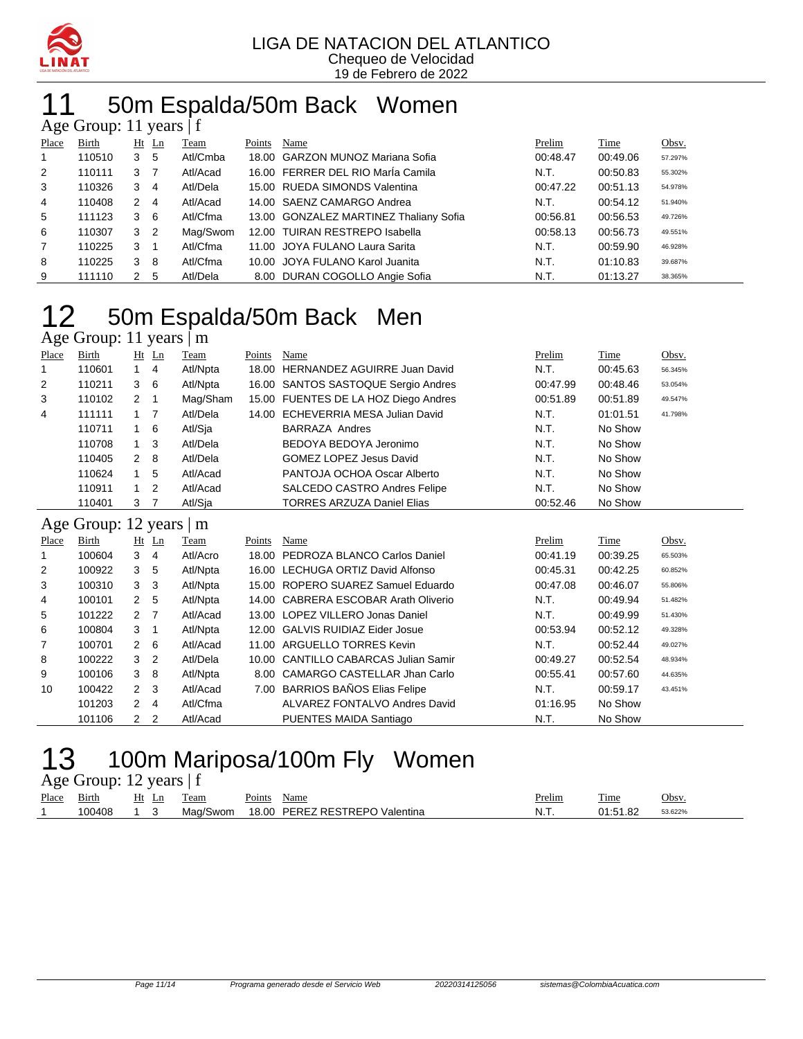

## 50m Espalda/50m Back Women

| Age Group: 11 years $ f $ |              |                |                |          |        |                                        |          |             |         |  |  |  |  |
|---------------------------|--------------|----------------|----------------|----------|--------|----------------------------------------|----------|-------------|---------|--|--|--|--|
| Place                     | <b>Birth</b> |                | $Ht$ Ln        | Team     | Points | Name                                   | Prelim   | <b>Time</b> | Obsv.   |  |  |  |  |
|                           | 110510       | 3              | - 5            | Atl/Cmba |        | 18.00 GARZON MUNOZ Mariana Sofia       | 00:48.47 | 00:49.06    | 57.297% |  |  |  |  |
| 2                         | 110111       | 3              | $\overline{7}$ | Atl/Acad |        | 16.00 FERRER DEL RIO María Camila      | N.T.     | 00:50.83    | 55.302% |  |  |  |  |
| 3                         | 110326       | 3              | $\overline{4}$ | Atl/Dela |        | 15.00 RUEDA SIMONDS Valentina          | 00:47.22 | 00:51.13    | 54.978% |  |  |  |  |
| 4                         | 110408       | 2 4            |                | Atl/Acad |        | 14.00 SAENZ CAMARGO Andrea             | N.T.     | 00:54.12    | 51.940% |  |  |  |  |
| 5                         | 111123       | 3              | - 6            | Atl/Cfma |        | 13.00 GONZALEZ MARTINEZ Thaliany Sofia | 00:56.81 | 00:56.53    | 49.726% |  |  |  |  |
| 6                         | 110307       | 3 <sub>2</sub> |                | Mag/Swom |        | 12.00 TUIRAN RESTREPO Isabella         | 00:58.13 | 00:56.73    | 49.551% |  |  |  |  |
| 7                         | 110225       | 3              | - 1            | Atl/Cfma |        | 11.00 JOYA FULANO Laura Sarita         | N.T.     | 00:59.90    | 46.928% |  |  |  |  |
| 8                         | 110225       | 3              | - 8            | Atl/Cfma |        | 10.00 JOYA FULANO Karol Juanita        | N.T.     | 01:10.83    | 39.687% |  |  |  |  |
| 9                         | 111110       | 2              | -5             | Atl/Dela |        | 8.00 DURAN COGOLLO Angie Sofia         | N.T.     | 01:13.27    | 38.365% |  |  |  |  |

#### 50m Espalda/50m Back Men Age Group: 11 years | m

Place Birth Ht Ln Team Points Name Prelim Time Obsv. 110601 1 4 Atl/Npta 18.00 HERNANDEZ AGUIRRE Juan David N.T. 00:45.63 56.345% 110211 3 6 Atl/Npta 16.00 SANTOS SASTOQUE Sergio Andres 00:47.99 00:48.46 53.054% 110102 2 1 Mag/Sham 15.00 FUENTES DE LA HOZ Diego Andres 00:51.89 00:51.89 49.547% 111111 1 7 Atl/Dela 14.00 ECHEVERRIA MESA Julian David N.T. 01:01.51 41.798% 110711 1 6 Atl/Sja BARRAZA Andres N.T. No Show 1 3 Atl/Dela BEDOYA BEDOYA Jeronimo N.T. No Show 110405 2 8 Atl/Dela GOMEZ LOPEZ Jesus David N.T. No Show 1 5 Atl/Acad PANTOJA OCHOA Oscar Alberto N.T. No Show 1 2 Atl/Acad SALCEDO CASTRO Andres Felipe N.T. No Show 3 7 Atl/Sja TORRES ARZUZA Daniel Elias 00:52.46 No Show Age Group: 12 years | m Place Birth Ht Ln Team Points Name Prelim Time Obsv. 100604 3 4 Atl/Acro 18.00 PEDROZA BLANCO Carlos Daniel 00:41.19 00:39.25 65.503% 100922 3 5 Atl/Npta 16.00 LECHUGA ORTIZ David Alfonso 00:45.31 00:42.25 60.852% 100310 3 3 Atl/Npta 15.00 ROPERO SUAREZ Samuel Eduardo 00:47.08 00:46.07 55.806% 100101 2 5 Atl/Npta 14.00 CABRERA ESCOBAR Arath Oliverio N.T. 00:49.94 51.482% 101222 2 7 Atl/Acad 13.00 LOPEZ VILLERO Jonas Daniel N.T. 00:49.99 51.430% 100804 3 1 Atl/Npta 12.00 GALVIS RUIDIAZ Eider Josue 00:53.94 00:52.12 49.328% 100701 2 6 Atl/Acad 11.00 ARGUELLO TORRES Kevin N.T. 00:52.44 49.027% 100222 3 2 Atl/Dela 10.00 CANTILLO CABARCAS Julian Samir 00:49.27 00:52.54 48.934% 100106 3 8 Atl/Npta 8.00 CAMARGO CASTELLAR Jhan Carlo 00:55.41 00:57.60 44.635% 100422 2 3 Atl/Acad 7.00 BARRIOS BAÑOS Elias Felipe N.T. 00:59.17 43.451% 2 4 Atl/Cfma ALVAREZ FONTALVO Andres David 01:16.95 No Show 101106 2 2 Atl/Acad PUENTES MAIDA Santiago N.T. No Show

### 100m Mariposa/100m Fly Women

Age Group: 12 years | f

| Place | __<br>31rth | Ht<br>- | eam       | $\sim$<br>oints'<br>Name      | Prelim   | m.<br>l'ime   | $\gamma$ hsv    |
|-------|-------------|---------|-----------|-------------------------------|----------|---------------|-----------------|
|       | 00408       |         | $M\cap r$ | 18.00<br>۰.<br>DГ<br>alentina | NL.<br>. | n c<br>-<br>. | $3.022^{\circ}$ |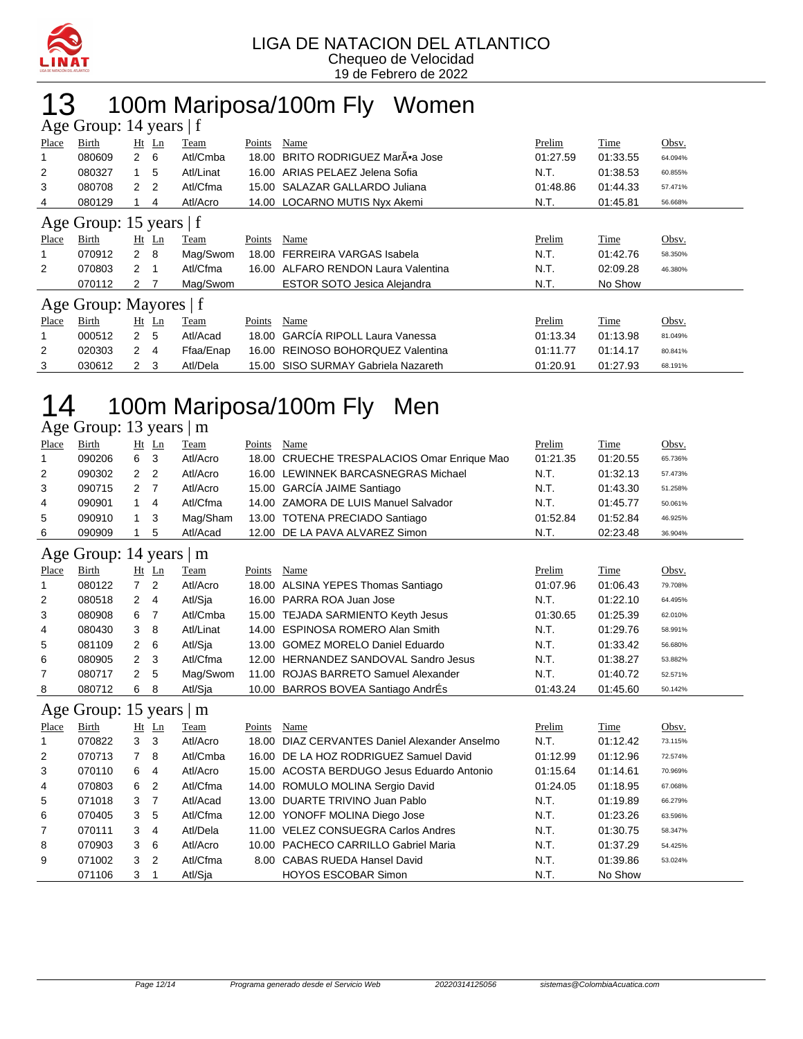

## 13 100m Mariposa/100m Fly Women

| Age Group: 14 years $ f $ |                        |                |                |           |        |                                     |          |          |         |  |  |  |  |
|---------------------------|------------------------|----------------|----------------|-----------|--------|-------------------------------------|----------|----------|---------|--|--|--|--|
| Place                     | Birth                  |                | $Ht$ Ln        | Team      | Points | Name                                | Prelim   | Time     | Obsv.   |  |  |  |  |
|                           | 080609                 | $2\quad 6$     |                | Atl/Cmba  | 18.00  | BRITO RODRIGUEZ MarÃ.a Jose         | 01:27.59 | 01:33.55 | 64.094% |  |  |  |  |
| 2                         | 080327                 |                | $1\quad5$      | Atl/Linat | 16.00  | ARIAS PELAEZ Jelena Sofia           | N.T.     | 01:38.53 | 60.855% |  |  |  |  |
| 3                         | 080708                 | $\overline{2}$ | $\overline{2}$ | Atl/Cfma  | 15.00  | SALAZAR GALLARDO Juliana            | 01:48.86 | 01:44.33 | 57.471% |  |  |  |  |
| 4                         | 080129                 |                | 4              | Atl/Acro  |        | 14.00 LOCARNO MUTIS Nyx Akemi       | N.T.     | 01:45.81 | 56.668% |  |  |  |  |
| Age Group: 15 years $ f $ |                        |                |                |           |        |                                     |          |          |         |  |  |  |  |
| Place                     | Birth                  |                | $Ht$ Ln        | Team      | Points | Name                                | Prelim   | Time     | Obsv.   |  |  |  |  |
|                           | 070912                 | 2 8            |                | Mag/Swom  | 18.00  | FERREIRA VARGAS Isabela             | N.T.     | 01:42.76 | 58.350% |  |  |  |  |
| 2                         | 070803                 | 2              |                | Atl/Cfma  | 16.00  | ALFARO RENDON Laura Valentina       | N.T.     | 02:09.28 | 46.380% |  |  |  |  |
|                           | 070112                 | 2              |                | Mag/Swom  |        | <b>ESTOR SOTO Jesica Alejandra</b>  | N.T.     | No Show  |         |  |  |  |  |
|                           | Age Group: Mayores   f |                |                |           |        |                                     |          |          |         |  |  |  |  |
| Place                     | Birth                  |                | $Ht$ Ln        | Team      | Points | Name                                | Prelim   | Time     | Obsv.   |  |  |  |  |
|                           | 000512                 | $\mathbf{2}$   | 5              | Atl/Acad  | 18.00  | <b>GARCIA RIPOLL Laura Vanessa</b>  | 01:13.34 | 01:13.98 | 81.049% |  |  |  |  |
| 2                         | 020303                 | $\mathbf{2}$   | 4              | Ffaa/Enap | 16.00  | REINOSO BOHORQUEZ Valentina         | 01:11.77 | 01:14.17 | 80.841% |  |  |  |  |
| 3                         | 030612                 | $\overline{2}$ | -3             | Atl/Dela  |        | 15.00 SISO SURMAY Gabriela Nazareth | 01:20.91 | 01:27.93 | 68.191% |  |  |  |  |

# 14 100m Mariposa/100m Fly Men

#### Age Group: 13 years | m

|       | $\frac{1}{2}$ |     |         |             |        |                                             |               |          |         |
|-------|---------------|-----|---------|-------------|--------|---------------------------------------------|---------------|----------|---------|
| Place | <b>Birth</b>  |     | $Ht$ Ln | <b>Team</b> | Points | Name                                        | <b>Prelim</b> | Time     | Obsv.   |
|       | 090206        | 6   | - 3     | Atl/Acro    |        | 18.00 CRUECHE TRESPALACIOS Omar Enrique Mao | 01:21.35      | 01:20.55 | 65.736% |
| 2     | 090302        | 2 2 |         | Atl/Acro    |        | 16.00 LEWINNEK BARCASNEGRAS Michael         | N.T.          | 01:32.13 | 57.473% |
| 3     | 090715        | 2   |         | Atl/Acro    |        | 15.00 GARCÍA JAIME Santiago                 | N.T.          | 01:43.30 | 51.258% |
| 4     | 090901        |     | -4      | Atl/Cfma    |        | 14.00 ZAMORA DE LUIS Manuel Salvador        | N.T.          | 01:45.77 | 50.061% |
| 5     | 090910        | 1 3 |         | Mag/Sham    |        | 13.00 TOTENA PRECIADO Santiago              | 01:52.84      | 01:52.84 | 46.925% |
| 6     | 090909        |     | -5      | Atl/Acad    |        | 12.00 DE LA PAVA ALVAREZ Simon              | N.T.          | 02:23.48 | 36.904% |
|       |               |     |         |             |        |                                             |               |          |         |

#### Age Group: 14 years | m

| Place          | <b>Birth</b> | Ht | $\mathbf{L}$ n | <u>Team</u> | Points | Name                                  | Prelim   | <b>Time</b> | Obsv.   |
|----------------|--------------|----|----------------|-------------|--------|---------------------------------------|----------|-------------|---------|
| -1             | 080122       |    | -2             | Atl/Acro    |        | 18.00 ALSINA YEPES Thomas Santiago    | 01:07.96 | 01:06.43    | 79.708% |
| 2              | 080518       | 2  | 4              | Atl/Sja     |        | 16.00 PARRA ROA Juan Jose             | N.T.     | 01:22.10    | 64.495% |
| 3              | 080908       | 6  |                | Atl/Cmba    |        | 15.00 TEJADA SARMIENTO Keyth Jesus    | 01:30.65 | 01:25.39    | 62.010% |
| 4              | 080430       | 3  | 8              | Atl/Linat   |        | 14.00 ESPINOSA ROMERO Alan Smith      | N.T.     | 01:29.76    | 58.991% |
| 5              | 081109       | 2  | - 6            | Atl/Sja     |        | 13.00 GOMEZ MORELO Daniel Eduardo     | N.T.     | 01:33.42    | 56.680% |
| 6              | 080905       | 2  | - 3            | Atl/Cfma    |        | 12.00 HERNANDEZ SANDOVAL Sandro Jesus | N.T.     | 01:38.27    | 53.882% |
| $\overline{7}$ | 080717       | 2  | -5             | Mag/Swom    |        | 11.00 ROJAS BARRETO Samuel Alexander  | N.T.     | 01:40.72    | 52.571% |
| 8              | 080712       | 6  | 8              | Atl/Sia     |        | 10.00 BARROS BOVEA Santiago AndrÉs    | 01:43.24 | 01:45.60    | 50.142% |

#### Age Group: 15 years | m

|       | $\frac{1}{2}$<br>--- |                |                |          |        |                                               |          |          |         |  |  |  |  |  |
|-------|----------------------|----------------|----------------|----------|--------|-----------------------------------------------|----------|----------|---------|--|--|--|--|--|
| Place | Birth                |                | $Ht$ Ln        | Team     | Points | Name                                          | Prelim   | Time     | Obsv.   |  |  |  |  |  |
| -1    | 070822               | 3 3            |                | Atl/Acro |        | 18.00 DIAZ CERVANTES Daniel Alexander Anselmo | N.T.     | 01:12.42 | 73.115% |  |  |  |  |  |
| 2     | 070713               |                | 8              | Atl/Cmba |        | 16.00 DE LA HOZ RODRIGUEZ Samuel David        | 01:12.99 | 01:12.96 | 72.574% |  |  |  |  |  |
| 3     | 070110               | 6              | 4              | Atl/Acro |        | 15.00 ACOSTA BERDUGO Jesus Eduardo Antonio    | 01:15.64 | 01:14.61 | 70.969% |  |  |  |  |  |
| 4     | 070803               | 6              | -2             | Atl/Cfma |        | 14.00 ROMULO MOLINA Sergio David              | 01:24.05 | 01:18.95 | 67.068% |  |  |  |  |  |
| 5     | 071018               | 3              | - 7            | Atl/Acad |        | 13.00 DUARTE TRIVINO Juan Pablo               | N.T.     | 01:19.89 | 66.279% |  |  |  |  |  |
| 6     | 070405               | 3              | 5              | Atl/Cfma |        | 12.00 YONOFF MOLINA Diego Jose                | N.T.     | 01:23.26 | 63.596% |  |  |  |  |  |
| 7     | 070111               | 3              | -4             | Atl/Dela |        | 11.00 VELEZ CONSUEGRA Carlos Andres           | N.T.     | 01:30.75 | 58.347% |  |  |  |  |  |
| 8     | 070903               | 3 <sub>6</sub> |                | Atl/Acro |        | 10.00 PACHECO CARRILLO Gabriel Maria          | N.T.     | 01:37.29 | 54.425% |  |  |  |  |  |
| 9     | 071002               | 3              | $\overline{2}$ | Atl/Cfma |        | 8.00 CABAS RUEDA Hansel David                 | N.T.     | 01:39.86 | 53.024% |  |  |  |  |  |
|       | 071106               | 3              |                | Atl/Sja  |        | <b>HOYOS ESCOBAR Simon</b>                    | N.T.     | No Show  |         |  |  |  |  |  |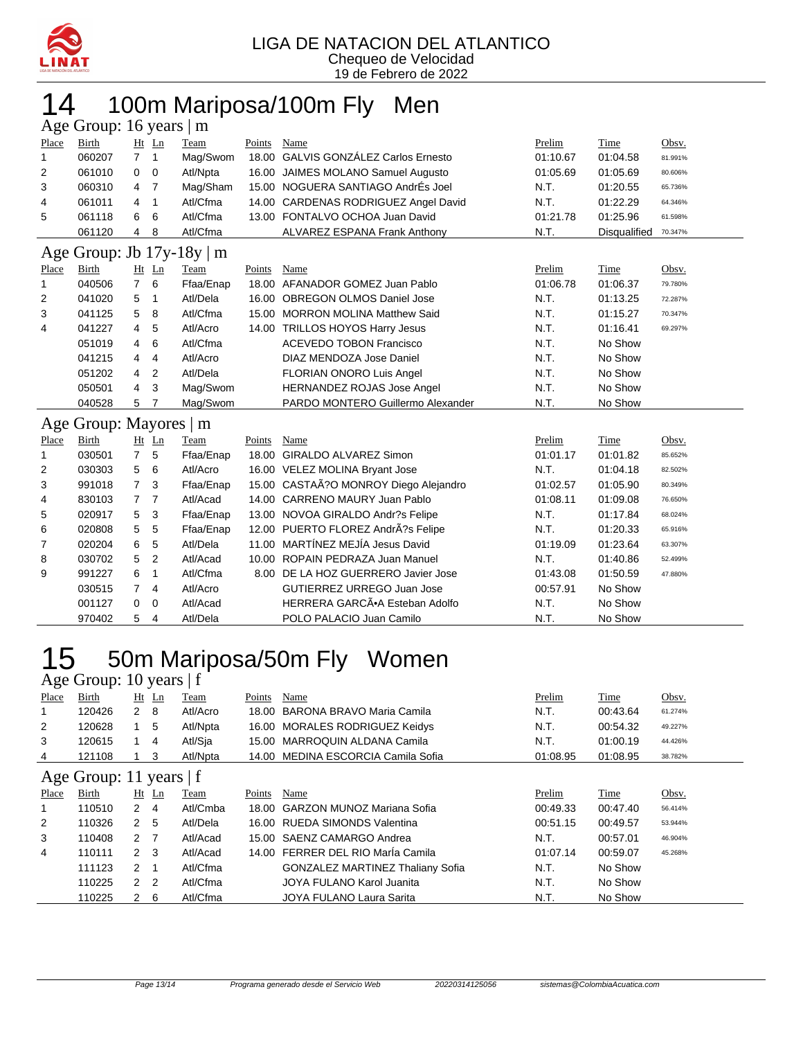

# 14 100m Mariposa/100m Fly Men

|                                 | Age Group: 16 years   m |                |                |           |        |                                       |          |              |         |  |  |  |  |
|---------------------------------|-------------------------|----------------|----------------|-----------|--------|---------------------------------------|----------|--------------|---------|--|--|--|--|
| Place                           | Birth                   |                | $Ht$ Ln        | Team      | Points | Name                                  | Prelim   | Time         | Obsv.   |  |  |  |  |
| 1                               | 060207                  | $\overline{7}$ | $\overline{1}$ | Mag/Swom  |        | 18.00 GALVIS GONZÁLEZ Carlos Ernesto  | 01:10.67 | 01:04.58     | 81.991% |  |  |  |  |
| 2                               | 061010                  | 0              | 0              | Atl/Npta  |        | 16.00 JAIMES MOLANO Samuel Augusto    | 01:05.69 | 01:05.69     | 80.606% |  |  |  |  |
| 3                               | 060310                  | 4              | 7              | Mag/Sham  |        | 15.00 NOGUERA SANTIAGO AndrEs Joel    | N.T.     | 01:20.55     | 65.736% |  |  |  |  |
| 4                               | 061011                  | 4              | $\mathbf{1}$   | Atl/Cfma  |        | 14.00 CARDENAS RODRIGUEZ Angel David  | N.T.     | 01:22.29     | 64.346% |  |  |  |  |
| 5                               | 061118                  | 6              | 6              | Atl/Cfma  |        | 13.00 FONTALVO OCHOA Juan David       | 01:21.78 | 01:25.96     | 61.598% |  |  |  |  |
|                                 | 061120                  | 4              | 8              | Atl/Cfma  |        | ALVAREZ ESPANA Frank Anthony          | N.T.     | Disqualified | 70.347% |  |  |  |  |
| Group: Jb $17y-18y$<br>m<br>Age |                         |                |                |           |        |                                       |          |              |         |  |  |  |  |
| Place                           | Birth                   |                | $Ht$ Ln        | Team      | Points | Name                                  | Prelim   | Time         | Obsv.   |  |  |  |  |
| 1                               | 040506                  | $\overline{7}$ | 6              | Ffaa/Enap |        | 18.00 AFANADOR GOMEZ Juan Pablo       | 01:06.78 | 01:06.37     | 79.780% |  |  |  |  |
| 2                               | 041020                  | 5              | $\mathbf{1}$   | Atl/Dela  | 16.00  | <b>OBREGON OLMOS Daniel Jose</b>      | N.T.     | 01:13.25     | 72.287% |  |  |  |  |
| 3                               | 041125                  | 5              | 8              | Atl/Cfma  |        | 15.00 MORRON MOLINA Matthew Said      | N.T.     | 01:15.27     | 70.347% |  |  |  |  |
| 4                               | 041227                  | 4              | 5              | Atl/Acro  |        | 14.00 TRILLOS HOYOS Harry Jesus       | N.T.     | 01:16.41     | 69.297% |  |  |  |  |
|                                 | 051019                  | 4              | 6              | Atl/Cfma  |        | <b>ACEVEDO TOBON Francisco</b>        | N.T.     | No Show      |         |  |  |  |  |
|                                 | 041215                  | 4              | $\overline{4}$ | Atl/Acro  |        | DIAZ MENDOZA Jose Daniel              | N.T.     | No Show      |         |  |  |  |  |
|                                 | 051202                  | 4              | $\overline{2}$ | Atl/Dela  |        | FLORIAN ONORO Luis Angel              | N.T.     | No Show      |         |  |  |  |  |
|                                 | 050501                  | 4              | 3              | Mag/Swom  |        | <b>HERNANDEZ ROJAS Jose Angel</b>     | N.T.     | No Show      |         |  |  |  |  |
|                                 | 040528                  | 5              | 7              | Mag/Swom  |        | PARDO MONTERO Guillermo Alexander     | N.T.     | No Show      |         |  |  |  |  |
|                                 | Age Group: Mayores   m  |                |                |           |        |                                       |          |              |         |  |  |  |  |
| Place                           | <b>Birth</b>            |                | Ht Ln          | Team      | Points | Name                                  | Prelim   | Time         | Obsv.   |  |  |  |  |
| 1                               | 030501                  | $\overline{7}$ | 5              | Ffaa/Enap |        | 18.00 GIRALDO ALVAREZ Simon           | 01:01.17 | 01:01.82     | 85.652% |  |  |  |  |
| 2                               | 030303                  | 5              | 6              | Atl/Acro  |        | 16.00 VELEZ MOLINA Bryant Jose        | N.T.     | 01:04.18     | 82.502% |  |  |  |  |
| 3                               | 991018                  | $\overline{7}$ | 3              | Ffaa/Enap |        | 15.00 CASTAÃ?O MONROY Diego Alejandro | 01:02.57 | 01:05.90     | 80.349% |  |  |  |  |
| 4                               | 830103                  | $\overline{7}$ | 7              | Atl/Acad  |        | 14.00 CARRENO MAURY Juan Pablo        | 01:08.11 | 01:09.08     | 76.650% |  |  |  |  |
| 5                               | 020917                  | 5              | 3              | Ffaa/Enap |        | 13.00 NOVOA GIRALDO Andr?s Felipe     | N.T.     | 01:17.84     | 68.024% |  |  |  |  |
| 6                               | 020808                  | 5              | 5              | Ffaa/Enap |        | 12.00 PUERTO FLOREZ AndrÃ?s Felipe    | N.T.     | 01:20.33     | 65.916% |  |  |  |  |
| 7                               | 020204                  | 6              | 5              | Atl/Dela  |        | 11.00 MARTÍNEZ MEJÍA Jesus David      | 01:19.09 | 01:23.64     | 63.307% |  |  |  |  |
| 8                               | 030702                  | 5              | $\overline{2}$ | Atl/Acad  |        | 10.00 ROPAIN PEDRAZA Juan Manuel      | N.T.     | 01:40.86     | 52.499% |  |  |  |  |
| 9                               | 991227                  | 6              | 1              | Atl/Cfma  |        | 8.00 DE LA HOZ GUERRERO Javier Jose   | 01:43.08 | 01:50.59     | 47.880% |  |  |  |  |
|                                 | 030515                  | 7              | 4              | Atl/Acro  |        | GUTIERREZ URREGO Juan Jose            | 00:57.91 | No Show      |         |  |  |  |  |
|                                 | 001127                  | 0              | 0              | Atl/Acad  |        | HERRERA GARCÃ.A Esteban Adolfo        | N.T.     | No Show      |         |  |  |  |  |
|                                 | 970402                  | 5              | $\overline{4}$ | Atl/Dela  |        | POLO PALACIO Juan Camilo              | N.T.     | No Show      |         |  |  |  |  |

# 15 50m Mariposa/50m Fly Women

| Age Group: 10 years   f |        |                      |                |          |        |                                         |          |          |         |  |  |  |  |
|-------------------------|--------|----------------------|----------------|----------|--------|-----------------------------------------|----------|----------|---------|--|--|--|--|
| Place                   | Birth  |                      | $Ht$ Ln        | Team     | Points | Name                                    | Prelim   | Time     | Obsv.   |  |  |  |  |
| 1                       | 120426 | $2 \quad 8$          |                | Atl/Acro | 18.00  | BARONA BRAVO Maria Camila               | N.T.     | 00:43.64 | 61.274% |  |  |  |  |
| 2                       | 120628 |                      | 5              | Atl/Npta |        | 16.00 MORALES RODRIGUEZ Keidys          | N.T.     | 00:54.32 | 49.227% |  |  |  |  |
| 3                       | 120615 |                      | $\overline{4}$ | Atl/Sja  |        | 15.00 MARROQUIN ALDANA Camila           | N.T.     | 01:00.19 | 44.426% |  |  |  |  |
| 4                       | 121108 |                      | 3              | Atl/Npta |        | 14.00 MEDINA ESCORCIA Camila Sofia      | 01:08.95 | 01:08.95 | 38.782% |  |  |  |  |
| Age Group: 11 years   f |        |                      |                |          |        |                                         |          |          |         |  |  |  |  |
| Place                   | Birth  |                      | $Ht$ Ln        | Team     | Points | Name                                    | Prelim   | Time     | Obsv.   |  |  |  |  |
|                         | 110510 | $\mathbf{2}$         | -4             | Atl/Cmba | 18.00  | <b>GARZON MUNOZ Mariana Sofia</b>       | 00:49.33 | 00:47.40 | 56.414% |  |  |  |  |
| $\overline{2}$          | 110326 | $\overline{2}$       | -5             | Atl/Dela |        | 16.00 RUEDA SIMONDS Valentina           | 00:51.15 | 00:49.57 | 53.944% |  |  |  |  |
| 3                       | 110408 | 2 <sub>7</sub>       |                | Atl/Acad |        | 15.00 SAENZ CAMARGO Andrea              | N.T.     | 00:57.01 | 46.904% |  |  |  |  |
| 4                       | 110111 | $2 \quad 3$          |                | Atl/Acad |        | 14.00 FERRER DEL RIO María Camila       | 01:07.14 | 00:59.07 | 45.268% |  |  |  |  |
|                         | 111123 | $\mathbf{2}^{\circ}$ | 1              | Atl/Cfma |        | <b>GONZALEZ MARTINEZ Thaliany Sofia</b> | N.T.     | No Show  |         |  |  |  |  |
|                         | 110225 | $\mathbf{2}$         | $\overline{2}$ | Atl/Cfma |        | JOYA FULANO Karol Juanita               | N.T.     | No Show  |         |  |  |  |  |
|                         | 110225 | $\mathbf{2}$         | 6              | Atl/Cfma |        | JOYA FULANO Laura Sarita                | N.T.     | No Show  |         |  |  |  |  |